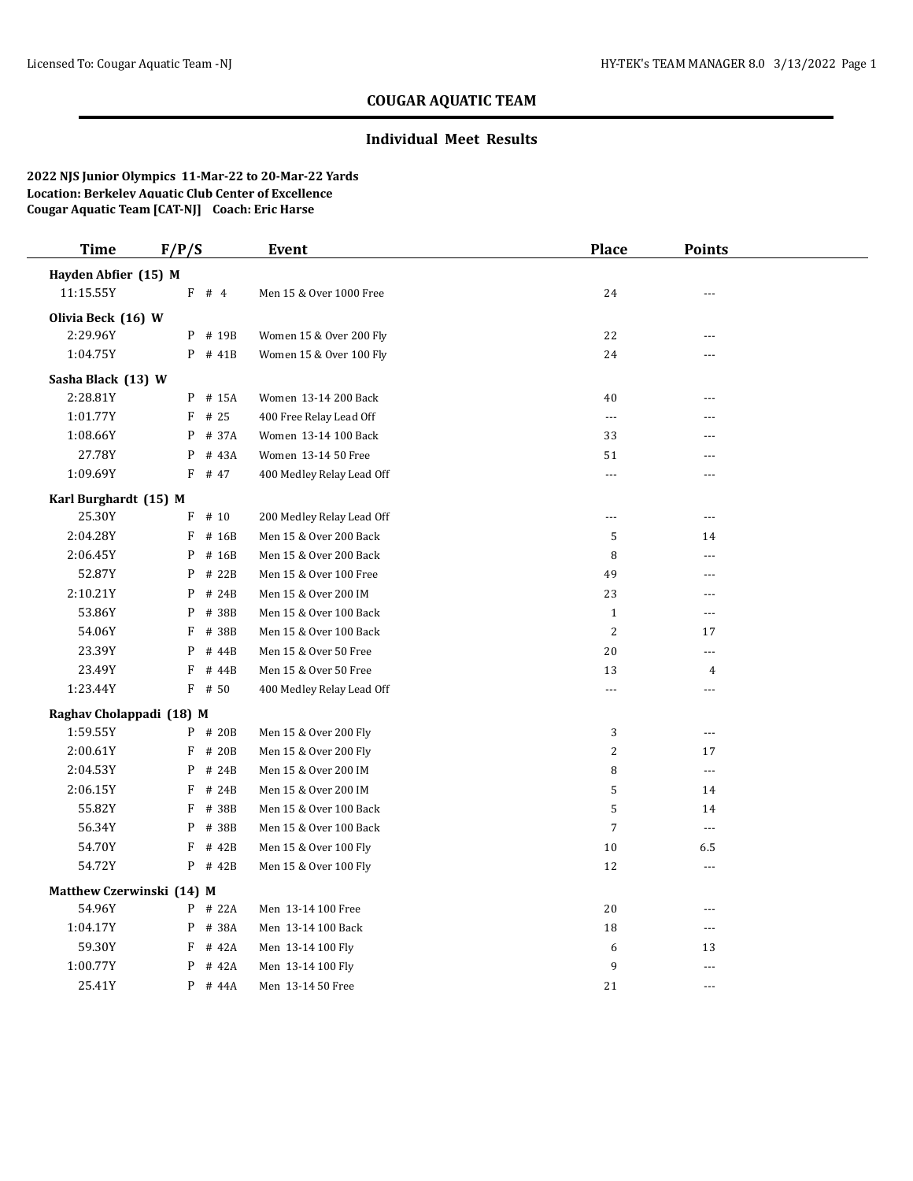### **Individual Meet Results**

| <b>Time</b>               | F/P/S      | Event                     | <b>Place</b>         | <b>Points</b>            |  |
|---------------------------|------------|---------------------------|----------------------|--------------------------|--|
| Hayden Abfier (15) M      |            |                           |                      |                          |  |
| 11:15.55Y                 | $F$ # 4    | Men 15 & Over 1000 Free   | 24                   | $---$                    |  |
| Olivia Beck (16) W        |            |                           |                      |                          |  |
| 2:29.96Y                  | P # 19B    | Women 15 & Over 200 Fly   | 22                   | $ -$                     |  |
| 1:04.75Y                  | $P$ # 41B  | Women 15 & Over 100 Fly   | 24                   | ---                      |  |
| Sasha Black (13) W        |            |                           |                      |                          |  |
| 2:28.81Y                  | P # 15A    | Women 13-14 200 Back      | 40                   | ---                      |  |
| 1:01.77Y                  | $F$ # 25   | 400 Free Relay Lead Off   | $\scriptstyle\cdots$ |                          |  |
| 1:08.66Y                  | P<br># 37A | Women 13-14 100 Back      | 33                   | $\overline{a}$           |  |
| 27.78Y                    | P<br># 43A | Women 13-14 50 Free       | 51                   | ---                      |  |
| 1:09.69Y                  | $F$ # 47   | 400 Medley Relay Lead Off | $\cdots$             | $- - -$                  |  |
| Karl Burghardt (15) M     |            |                           |                      |                          |  |
| 25.30Y                    | $F$ # 10   | 200 Medley Relay Lead Off | $---$                | $\overline{\phantom{a}}$ |  |
| 2:04.28Y                  | F<br># 16B | Men 15 & Over 200 Back    | 5                    | 14                       |  |
| 2:06.45Y                  | P<br># 16B | Men 15 & Over 200 Back    | 8                    | ---                      |  |
| 52.87Y                    | P<br># 22B | Men 15 & Over 100 Free    | 49                   | $- - -$                  |  |
| 2:10.21Y                  | # 24B<br>P | Men 15 & Over 200 IM      | 23                   | ---                      |  |
| 53.86Y                    | P<br># 38B | Men 15 & Over 100 Back    | $\mathbf{1}$         | ---                      |  |
| 54.06Y                    | F<br># 38B | Men 15 & Over 100 Back    | $\overline{2}$       | 17                       |  |
| 23.39Y                    | P<br># 44B | Men 15 & Over 50 Free     | 20                   | $\overline{a}$           |  |
| 23.49Y                    | F<br># 44B | Men 15 & Over 50 Free     | 13                   | 4                        |  |
| 1:23.44Y                  | $F$ # 50   | 400 Medley Relay Lead Off | $\cdots$             | $\overline{\phantom{a}}$ |  |
| Raghav Cholappadi (18) M  |            |                           |                      |                          |  |
| 1:59.55Y                  | P # 20B    | Men 15 & Over 200 Fly     | 3                    | $\overline{a}$           |  |
| 2:00.61Y                  | F # 20B    | Men 15 & Over 200 Fly     | $\overline{2}$       | 17                       |  |
| 2:04.53Y                  | $P$ # 24B  | Men 15 & Over 200 IM      | 8                    | $\overline{\phantom{a}}$ |  |
| 2:06.15Y                  | $F$ # 24B  | Men 15 & Over 200 IM      | 5                    | 14                       |  |
| 55.82Y                    | $F$ # 38B  | Men 15 & Over 100 Back    | 5                    | 14                       |  |
| 56.34Y                    | P # 38B    | Men 15 & Over 100 Back    | $\overline{7}$       | $\overline{a}$           |  |
| 54.70Y                    | F<br># 42B | Men 15 & Over 100 Fly     | 10                   | 6.5                      |  |
| 54.72Y                    | P # 42B    | Men 15 & Over 100 Fly     | 12                   | $\sim$                   |  |
| Matthew Czerwinski (14) M |            |                           |                      |                          |  |
| 54.96Y                    | $P$ # 22A  | Men 13-14 100 Free        | 20                   | $\sim$                   |  |
| 1:04.17Y                  | P # 38A    | Men 13-14 100 Back        | 18                   | $\overline{a}$           |  |
| 59.30Y                    | F<br># 42A | Men 13-14 100 Fly         | 6                    | 13                       |  |
| 1:00.77Y                  | P<br># 42A | Men 13-14 100 Fly         | 9                    | $\overline{a}$           |  |
| 25.41Y                    | P # 44A    | Men 13-14 50 Free         | 21                   | ---                      |  |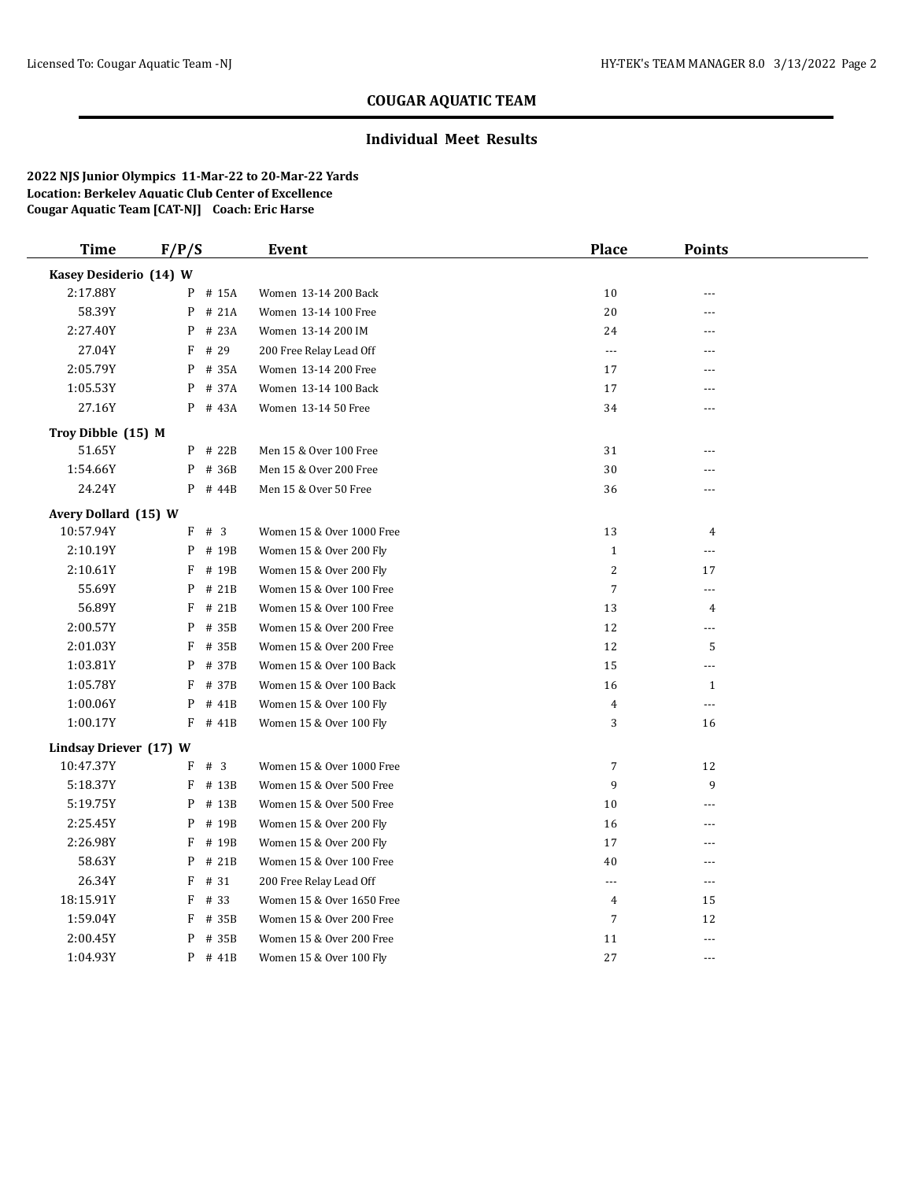### **Individual Meet Results**

| <b>Time</b>            | F/P/S      | <b>Event</b>              | <b>Place</b>   | <b>Points</b>  |  |
|------------------------|------------|---------------------------|----------------|----------------|--|
| Kasey Desiderio (14) W |            |                           |                |                |  |
| 2:17.88Y               | # 15A<br>P | Women 13-14 200 Back      | 10             | ÷÷             |  |
| 58.39Y                 | P<br># 21A | Women 13-14 100 Free      | 20             | ---            |  |
| 2:27.40Y               | # 23A<br>P | Women 13-14 200 IM        | 24             | ---            |  |
| 27.04Y                 | F<br># 29  | 200 Free Relay Lead Off   | $\cdots$       | ---            |  |
| 2:05.79Y               | P<br># 35A | Women 13-14 200 Free      | 17             | ---            |  |
| 1:05.53Y               | P<br># 37A | Women 13-14 100 Back      | 17             | ---            |  |
| 27.16Y                 | $P$ # 43A  | Women 13-14 50 Free       | 34             | $- - -$        |  |
| Troy Dibble (15) M     |            |                           |                |                |  |
| 51.65Y                 | P # 22B    | Men 15 & Over 100 Free    | 31             | ---            |  |
| 1:54.66Y               | P # 36B    | Men 15 & Over 200 Free    | 30             | ---            |  |
| 24.24Y                 | $P$ # 44B  | Men 15 & Over 50 Free     | 36             |                |  |
| Avery Dollard (15) W   |            |                           |                |                |  |
| 10:57.94Y              | $F$ # 3    | Women 15 & Over 1000 Free | 13             | $\overline{4}$ |  |
| 2:10.19Y               | P # 19B    | Women 15 & Over 200 Fly   | $\mathbf{1}$   | $---$          |  |
| 2:10.61Y               | F<br># 19B | Women 15 & Over 200 Fly   | $\sqrt{2}$     | 17             |  |
| 55.69Y                 | P<br># 21B | Women 15 & Over 100 Free  | $\overline{7}$ | $---$          |  |
| 56.89Y                 | F<br># 21B | Women 15 & Over 100 Free  | 13             | $\overline{4}$ |  |
| 2:00.57Y               | P<br># 35B | Women 15 & Over 200 Free  | 12             | ---            |  |
| 2:01.03Y               | F<br># 35B | Women 15 & Over 200 Free  | 12             | 5              |  |
| 1:03.81Y               | P # 37B    | Women 15 & Over 100 Back  | 15             | ---            |  |
| 1:05.78Y               | F<br># 37B | Women 15 & Over 100 Back  | 16             | $\mathbf{1}$   |  |
| 1:00.06Y               | P<br># 41B | Women 15 & Over 100 Fly   | $\overline{4}$ | $\cdots$       |  |
| 1:00.17Y               | F # 41B    | Women 15 & Over 100 Fly   | 3              | 16             |  |
| Lindsay Driever (17) W |            |                           |                |                |  |
| 10:47.37Y              | F # 3      | Women 15 & Over 1000 Free | $\overline{7}$ | 12             |  |
| 5:18.37Y               | F # 13B    | Women 15 & Over 500 Free  | 9              | 9              |  |
| 5:19.75Y               | P<br># 13B | Women 15 & Over 500 Free  | 10             | ---            |  |
| 2:25.45Y               | # 19B<br>P | Women 15 & Over 200 Fly   | 16             | ---            |  |
| 2:26.98Y               | F<br># 19B | Women 15 & Over 200 Fly   | 17             | ---            |  |
| 58.63Y                 | P<br># 21B | Women 15 & Over 100 Free  | 40             | $\overline{a}$ |  |
| 26.34Y                 | F<br># 31  | 200 Free Relay Lead Off   | ---            | $\cdots$       |  |
| 18:15.91Y              | F<br># 33  | Women 15 & Over 1650 Free | 4              | 15             |  |
| 1:59.04Y               | F<br># 35B | Women 15 & Over 200 Free  | 7              | 12             |  |
| 2:00.45Y               | P<br># 35B | Women 15 & Over 200 Free  | 11             | $\overline{a}$ |  |
| 1:04.93Y               | $P$ # 41B  | Women 15 & Over 100 Fly   | 27             | $---$          |  |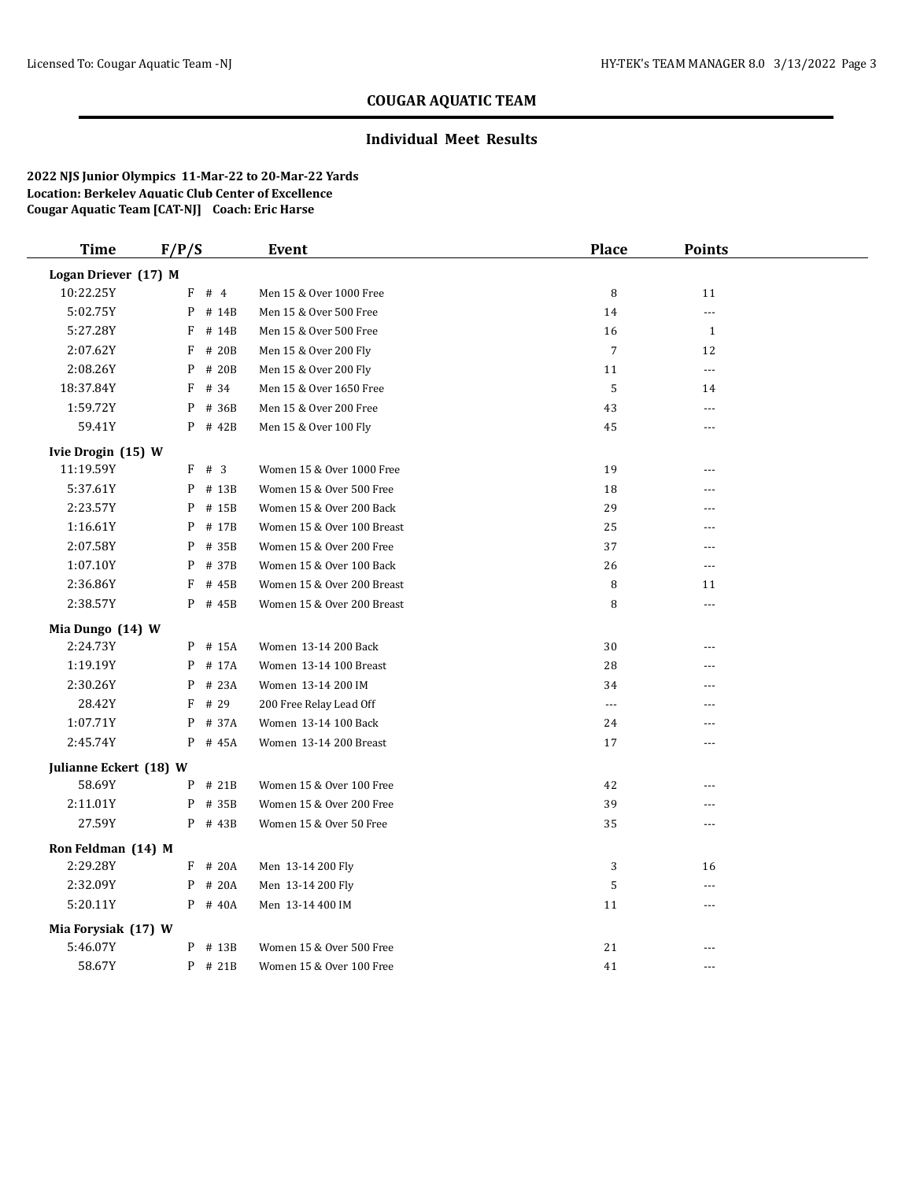### **Individual Meet Results**

| <b>Time</b>            | F/P/S      | <b>Event</b>               | <b>Place</b>   | <b>Points</b>  |  |
|------------------------|------------|----------------------------|----------------|----------------|--|
| Logan Driever (17) M   |            |                            |                |                |  |
| 10:22.25Y              | F<br>#4    | Men 15 & Over 1000 Free    | 8              | 11             |  |
| 5:02.75Y               | P<br># 14B | Men 15 & Over 500 Free     | 14             |                |  |
| 5:27.28Y               | F<br># 14B | Men 15 & Over 500 Free     | 16             | $\mathbf{1}$   |  |
| 2:07.62Y               | F<br># 20B | Men 15 & Over 200 Fly      | $\overline{7}$ | 12             |  |
| 2:08.26Y               | P<br># 20B | Men 15 & Over 200 Fly      | 11             | ---            |  |
| 18:37.84Y              | F<br># 34  | Men 15 & Over 1650 Free    | 5              | 14             |  |
| 1:59.72Y               | P<br># 36B | Men 15 & Over 200 Free     | 43             | $\overline{a}$ |  |
| 59.41Y                 | P<br># 42B | Men 15 & Over 100 Fly      | 45             | ---            |  |
| Ivie Drogin (15) W     |            |                            |                |                |  |
| 11:19.59Y              | F # 3      | Women 15 & Over 1000 Free  | 19             | $\overline{a}$ |  |
| 5:37.61Y               | $P$ # 13B  | Women 15 & Over 500 Free   | 18             | ---            |  |
| 2:23.57Y               | P<br># 15B | Women 15 & Over 200 Back   | 29             | ---            |  |
| 1:16.61Y               | P<br># 17B | Women 15 & Over 100 Breast | 25             |                |  |
| 2:07.58Y               | P<br># 35B | Women 15 & Over 200 Free   | 37             | ---            |  |
| 1:07.10Y               | P<br># 37B | Women 15 & Over 100 Back   | 26             | $- - -$        |  |
| 2:36.86Y               | F<br># 45B | Women 15 & Over 200 Breast | 8              | 11             |  |
| 2:38.57Y               | P<br># 45B | Women 15 & Over 200 Breast | 8              | $---$          |  |
| Mia Dungo (14) W       |            |                            |                |                |  |
| 2:24.73Y               | # 15A<br>P | Women 13-14 200 Back       | 30             | $\overline{a}$ |  |
| 1:19.19Y               | P<br># 17A | Women 13-14 100 Breast     | 28             | ---            |  |
| 2:30.26Y               | P<br># 23A | Women 13-14 200 IM         | 34             | ---            |  |
| 28.42Y                 | # 29<br>F  | 200 Free Relay Lead Off    | ---            |                |  |
| 1:07.71Y               | P<br># 37A | Women 13-14 100 Back       | 24             | ---            |  |
| 2:45.74Y               | P # 45A    | Women 13-14 200 Breast     | 17             | $\overline{a}$ |  |
| Julianne Eckert (18) W |            |                            |                |                |  |
| 58.69Y                 | $P$ # 21B  | Women 15 & Over 100 Free   | 42             | ---            |  |
| 2:11.01Y               | P<br># 35B | Women 15 & Over 200 Free   | 39             | ---            |  |
| 27.59Y                 | $P$ # 43B  | Women 15 & Over 50 Free    | 35             | ---            |  |
| Ron Feldman (14) M     |            |                            |                |                |  |
| 2:29.28Y               | $F$ # 20A  | Men 13-14 200 Fly          | 3              | 16             |  |
| 2:32.09Y               | P # 20A    | Men 13-14 200 Fly          | $\mathsf S$    | $- - -$        |  |
| 5:20.11Y               | P # 40A    | Men 13-14 400 IM           | 11             | ---            |  |
| Mia Forysiak (17) W    |            |                            |                |                |  |
| 5:46.07Y               | $P$ # 13B  | Women 15 & Over 500 Free   | 21             |                |  |
| 58.67Y                 | $P$ # 21B  | Women 15 & Over 100 Free   | 41             | ---            |  |
|                        |            |                            |                |                |  |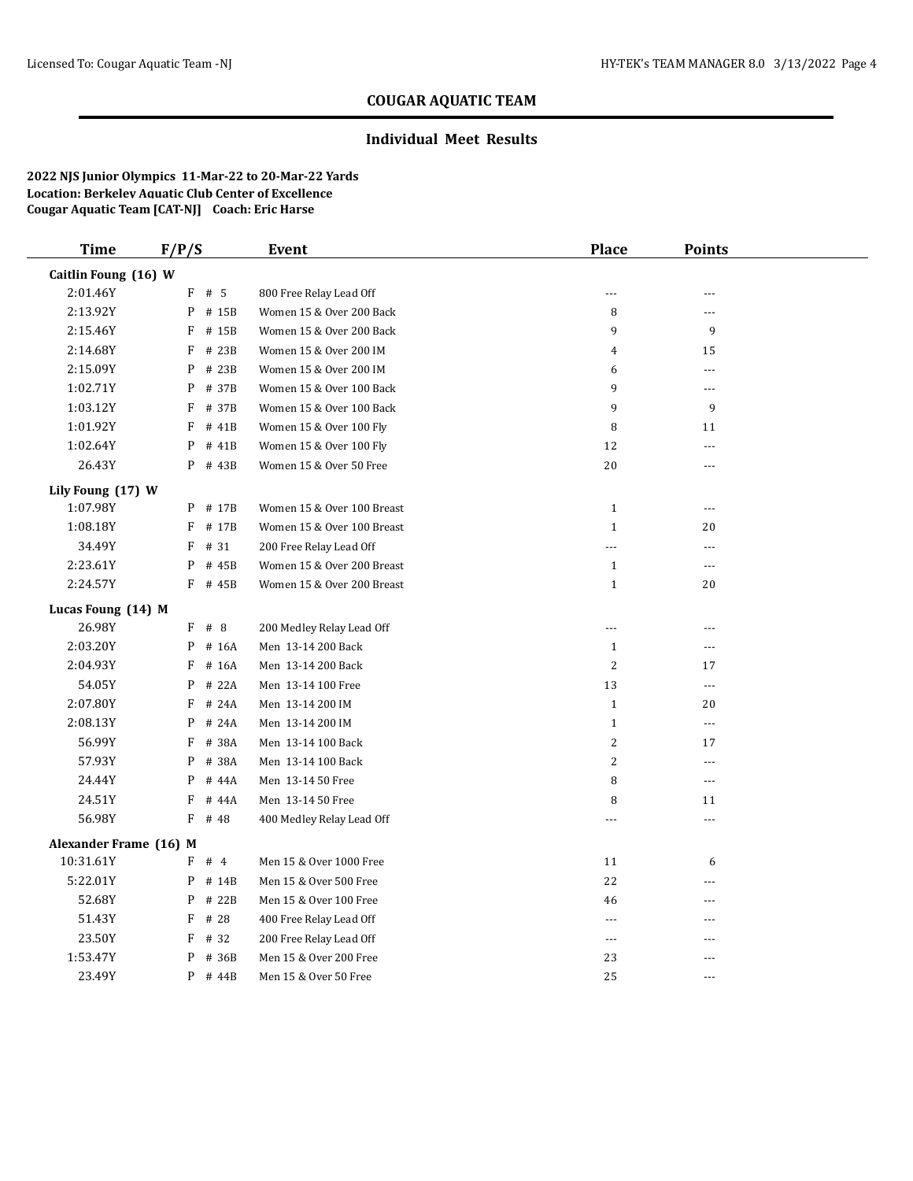#### **Individual Meet Results**

| <b>Time</b>            | F/P/S      | <b>Event</b>               | <b>Place</b>   | <b>Points</b>  |  |
|------------------------|------------|----------------------------|----------------|----------------|--|
| Caitlin Foung (16) W   |            |                            |                |                |  |
| 2:01.46Y               | $F$ # 5    | 800 Free Relay Lead Off    | $- - -$        | ---            |  |
| 2:13.92Y               | P # 15B    | Women 15 & Over 200 Back   | 8              | ---            |  |
| 2:15.46Y               | F<br># 15B | Women 15 & Over 200 Back   | 9              | 9              |  |
| 2:14.68Y               | F<br># 23B | Women 15 & Over 200 IM     | 4              | 15             |  |
| 2:15.09Y               | P<br># 23B | Women 15 & Over 200 IM     | 6              | ---            |  |
| 1:02.71Y               | P<br># 37B | Women 15 & Over 100 Back   | 9              | $---$          |  |
| 1:03.12Y               | F<br># 37B | Women 15 & Over 100 Back   | 9              | 9              |  |
| 1:01.92Y               | F<br># 41B | Women 15 & Over 100 Fly    | 8              | 11             |  |
| 1:02.64Y               | P<br># 41B | Women 15 & Over 100 Fly    | 12             | $---$          |  |
| 26.43Y                 | P # 43B    | Women 15 & Over 50 Free    | 20             | ---            |  |
| Lily Foung (17) W      |            |                            |                |                |  |
| 1:07.98Y               | P # 17B    | Women 15 & Over 100 Breast | $\mathbf{1}$   | $---$          |  |
| 1:08.18Y               | F # 17B    | Women 15 & Over 100 Breast | $\mathbf{1}$   | 20             |  |
| 34.49Y                 | $F$ # 31   | 200 Free Relay Lead Off    | $- - -$        | ---            |  |
| 2:23.61Y               | P<br># 45B | Women 15 & Over 200 Breast | $\mathbf{1}$   | $\overline{a}$ |  |
| 2:24.57Y               | F # 45B    | Women 15 & Over 200 Breast | $\mathbf{1}$   | 20             |  |
| Lucas Foung (14) M     |            |                            |                |                |  |
| 26.98Y                 | $F$ # 8    | 200 Medley Relay Lead Off  | ---            | ---            |  |
| 2:03.20Y               | P<br># 16A | Men 13-14 200 Back         | $\mathbf{1}$   | ---            |  |
| 2:04.93Y               | F<br># 16A | Men 13-14 200 Back         | 2              | 17             |  |
| 54.05Y                 | P<br># 22A | Men 13-14 100 Free         | 13             | $\overline{a}$ |  |
| 2:07.80Y               | $F$ # 24A  | Men 13-14 200 IM           | $\mathbf{1}$   | 20             |  |
| 2:08.13Y               | P<br># 24A | Men 13-14 200 IM           | $\mathbf{1}$   | $---$          |  |
| 56.99Y                 | F<br># 38A | Men 13-14 100 Back         | 2              | 17             |  |
| 57.93Y                 | P<br># 38A | Men 13-14 100 Back         | $\overline{c}$ | $-$            |  |
| 24.44Y                 | P<br># 44A | Men 13-14 50 Free          | 8              | ---            |  |
| 24.51Y                 | F<br># 44A | Men 13-14 50 Free          | 8              | 11             |  |
| 56.98Y                 | F<br># 48  | 400 Medley Relay Lead Off  | $-$            | ---            |  |
| Alexander Frame (16) M |            |                            |                |                |  |
| 10:31.61Y              | $F$ # 4    | Men 15 & Over 1000 Free    | 11             | 6              |  |
| 5:22.01Y               | P<br># 14B | Men 15 & Over 500 Free     | 22             | ---            |  |
| 52.68Y                 | P<br># 22B | Men 15 & Over 100 Free     | 46             | ---            |  |
| 51.43Y                 | F<br># 28  | 400 Free Relay Lead Off    | ---            | ---            |  |
| 23.50Y                 | F<br># 32  | 200 Free Relay Lead Off    | $---$          | $---$          |  |
| 1:53.47Y               | P<br># 36B | Men 15 & Over 200 Free     | 23             | ---            |  |
| 23.49Y                 | P<br># 44B | Men 15 & Over 50 Free      | 25             | ---            |  |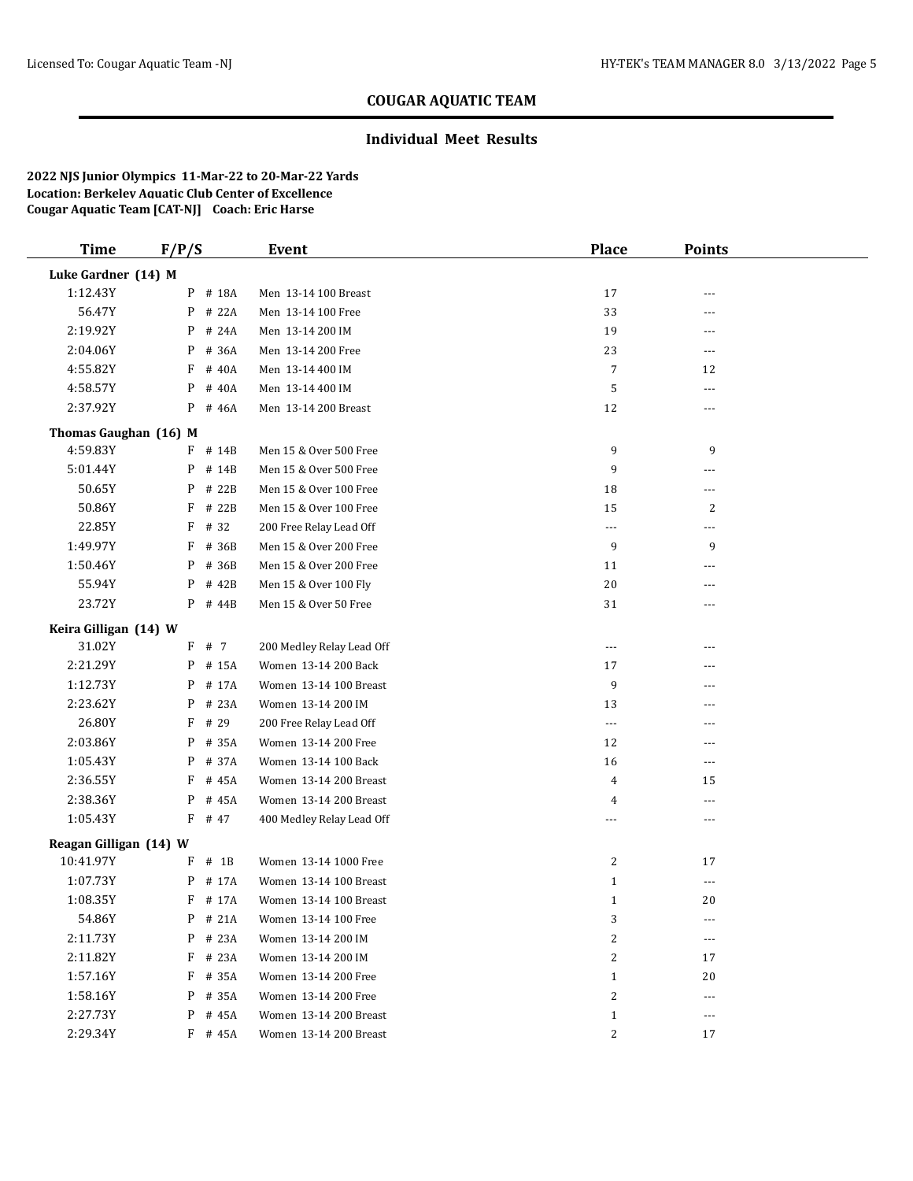### **Individual Meet Results**

| <b>Time</b>            | F/P/S       | Event                     | <b>Place</b>            | <b>Points</b>  |  |
|------------------------|-------------|---------------------------|-------------------------|----------------|--|
| Luke Gardner (14) M    |             |                           |                         |                |  |
| 1:12.43Y               | P # 18A     | Men 13-14 100 Breast      | 17                      |                |  |
| 56.47Y                 | P<br># 22A  | Men 13-14 100 Free        | 33                      | ---            |  |
| 2:19.92Y               | P<br># 24A  | Men 13-14 200 IM          | 19                      | ---            |  |
| 2:04.06Y               | P<br># 36A  | Men 13-14 200 Free        | 23                      | $\overline{a}$ |  |
| 4:55.82Y               | F<br># 40A  | Men 13-14 400 IM          | $\overline{7}$          | 12             |  |
| 4:58.57Y               | P<br># 40A  | Men 13-14 400 IM          | $\mathbf 5$             | ---            |  |
| 2:37.92Y               | P<br># 46A  | Men 13-14 200 Breast      | 12                      | ---            |  |
| Thomas Gaughan (16) M  |             |                           |                         |                |  |
| 4:59.83Y               | # 14B<br>F  | Men 15 & Over 500 Free    | 9                       | 9              |  |
| 5:01.44Y               | P<br># 14B  | Men 15 & Over 500 Free    | 9                       | ---            |  |
| 50.65Y                 | # 22B<br>P  | Men 15 & Over 100 Free    | 18                      | $\overline{a}$ |  |
| 50.86Y                 | F<br># 22B  | Men 15 & Over 100 Free    | 15                      | 2              |  |
| 22.85Y                 | F<br># 32   | 200 Free Relay Lead Off   | ---                     | ---            |  |
| 1:49.97Y               | F<br># 36B  | Men 15 & Over 200 Free    | 9                       | 9              |  |
| 1:50.46Y               | P<br># 36B  | Men 15 & Over 200 Free    | 11                      | ---            |  |
| 55.94Y                 | P<br># 42B  | Men 15 & Over 100 Fly     | $20\,$                  | ---            |  |
| 23.72Y                 | P # 44B     | Men 15 & Over 50 Free     | 31                      | ---            |  |
| Keira Gilligan (14) W  |             |                           |                         |                |  |
| 31.02Y                 | F<br># 7    | 200 Medley Relay Lead Off | ---                     | ---            |  |
| 2:21.29Y               | P<br># 15A  | Women 13-14 200 Back      | 17                      | ---            |  |
| 1:12.73Y               | P<br># 17A  | Women 13-14 100 Breast    | 9                       |                |  |
| 2:23.62Y               | P<br># 23A  | Women 13-14 200 IM        | 13                      |                |  |
| 26.80Y                 | # 29<br>F   | 200 Free Relay Lead Off   | ---                     | ---            |  |
| 2:03.86Y               | # 35A<br>P  | Women 13-14 200 Free      | 12                      | ---            |  |
| 1:05.43Y               | P<br># 37A  | Women 13-14 100 Back      | 16                      | ---            |  |
| 2:36.55Y               | F<br># 45A  | Women 13-14 200 Breast    | 4                       | 15             |  |
| 2:38.36Y               | P<br># 45A  | Women 13-14 200 Breast    | 4                       | ---            |  |
| 1:05.43Y               | $F$ # 47    | 400 Medley Relay Lead Off | ---                     | ---            |  |
| Reagan Gilligan (14) W |             |                           |                         |                |  |
| 10:41.97Y              | $#$ 1B<br>F | Women 13-14 1000 Free     | 2                       | 17             |  |
| 1:07.73Y               | P<br># 17A  | Women 13-14 100 Breast    | $\mathbf{1}$            | ---            |  |
| 1:08.35Y               | F # 17A     | Women 13-14 100 Breast    | $\mathbf{1}$            | 20             |  |
| 54.86Y                 | $P$ # 21A   | Women 13-14 100 Free      | 3                       | ---            |  |
| 2:11.73Y               | P # 23A     | Women 13-14 200 IM        | $\overline{\mathbf{c}}$ | ---            |  |
| 2:11.82Y               | $F$ # 23A   | Women 13-14 200 IM        | 2                       | 17             |  |
| 1:57.16Y               | F # 35A     | Women 13-14 200 Free      | $\mathbf{1}$            | 20             |  |
| 1:58.16Y               | P<br># 35A  | Women 13-14 200 Free      | 2                       | ---            |  |
| 2:27.73Y               | P # 45A     | Women 13-14 200 Breast    | $\mathbf{1}$            | ---            |  |
| 2:29.34Y               | $F$ # 45A   | Women 13-14 200 Breast    | 2                       | 17             |  |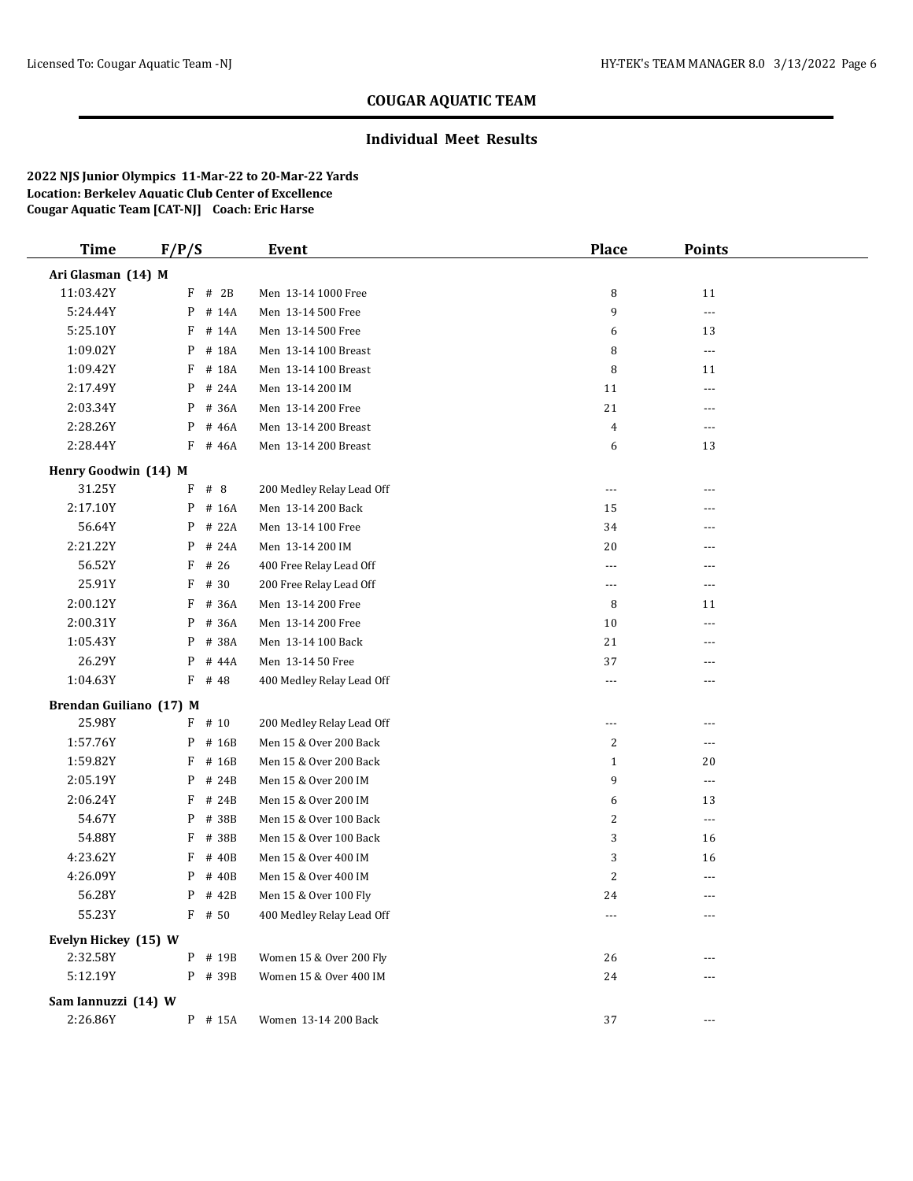### **Individual Meet Results**

| <b>Time</b>             | F/P/S      | Event                     | <b>Place</b>         | <b>Points</b>            |  |
|-------------------------|------------|---------------------------|----------------------|--------------------------|--|
| Ari Glasman (14) M      |            |                           |                      |                          |  |
| 11:03.42Y               | $F$ # 2B   | Men 13-14 1000 Free       | 8                    | 11                       |  |
| 5:24.44Y                | P # 14A    | Men 13-14 500 Free        | 9                    | $\cdots$                 |  |
| 5:25.10Y                | F<br># 14A | Men 13-14 500 Free        | 6                    | 13                       |  |
| 1:09.02Y                | P<br># 18A | Men 13-14 100 Breast      | 8                    | $\scriptstyle\cdots$     |  |
| 1:09.42Y                | F<br># 18A | Men 13-14 100 Breast      | 8                    | 11                       |  |
| 2:17.49Y                | # 24A<br>P | Men 13-14 200 IM          | 11                   | ---                      |  |
| 2:03.34Y                | P # 36A    | Men 13-14 200 Free        | 21                   | $---$                    |  |
| 2:28.26Y                | # 46A<br>P | Men 13-14 200 Breast      | $\overline{4}$       | ---                      |  |
| 2:28.44Y                | # 46A<br>F | Men 13-14 200 Breast      | 6                    | 13                       |  |
| Henry Goodwin (14) M    |            |                           |                      |                          |  |
| 31.25Y                  | F<br># 8   | 200 Medley Relay Lead Off | $\sim$ $\sim$ $\sim$ | $---$                    |  |
| 2:17.10Y                | $P$ # 16A  | Men 13-14 200 Back        | 15                   | ---                      |  |
| 56.64Y                  | # 22A<br>P | Men 13-14 100 Free        | 34                   | ---                      |  |
| 2:21.22Y                | # 24A<br>P | Men 13-14 200 IM          | 20                   | $---$                    |  |
| 56.52Y                  | F<br># 26  | 400 Free Relay Lead Off   | ---                  | ---                      |  |
| 25.91Y                  | F<br># 30  | 200 Free Relay Lead Off   | $- - -$              | ---                      |  |
| 2:00.12Y                | F<br># 36A | Men 13-14 200 Free        | 8                    | 11                       |  |
| 2:00.31Y                | P # 36A    | Men 13-14 200 Free        | 10                   | $---$                    |  |
| 1:05.43Y                | # 38A<br>P | Men 13-14 100 Back        | 21                   | ---                      |  |
| 26.29Y                  | # 44A<br>P | Men 13-14 50 Free         | 37                   | $---$                    |  |
| 1:04.63Y                | F<br># 48  | 400 Medley Relay Lead Off | ---                  | ---                      |  |
| Brendan Guiliano (17) M |            |                           |                      |                          |  |
| 25.98Y                  | $F$ # 10   | 200 Medley Relay Lead Off | ---                  | ---                      |  |
| 1:57.76Y                | $P$ # 16B  | Men 15 & Over 200 Back    | 2                    | ---                      |  |
| 1:59.82Y                | F<br># 16B | Men 15 & Over 200 Back    | $\mathbf{1}$         | 20                       |  |
| 2:05.19Y                | # 24B<br>P | Men 15 & Over 200 IM      | 9                    | $\overline{a}$           |  |
| 2:06.24Y                | F<br># 24B | Men 15 & Over 200 IM      | 6                    | 13                       |  |
| 54.67Y                  | P # 38B    | Men 15 & Over 100 Back    | 2                    | $\overline{\phantom{a}}$ |  |
| 54.88Y                  | F<br># 38B | Men 15 & Over 100 Back    | 3                    | 16                       |  |
| 4:23.62Y                | # 40B<br>F | Men 15 & Over 400 IM      | 3                    | 16                       |  |
| 4:26.09Y                | P<br># 40B | Men 15 & Over 400 IM      | 2                    | ---                      |  |
| 56.28Y                  | P<br># 42B | Men 15 & Over 100 Fly     | 24                   | $---$                    |  |
| 55.23Y                  | $F$ # 50   | 400 Medley Relay Lead Off | $\cdots$             | $\cdots$                 |  |
| Evelyn Hickey (15) W    |            |                           |                      |                          |  |
| 2:32.58Y                | P # 19B    | Women 15 & Over 200 Fly   | 26                   |                          |  |
| 5:12.19Y                | P # 39B    | Women 15 & Over 400 IM    | 24                   |                          |  |
| Sam Iannuzzi (14) W     |            |                           |                      |                          |  |
| 2:26.86Y                | P # 15A    | Women 13-14 200 Back      | 37                   | $---$                    |  |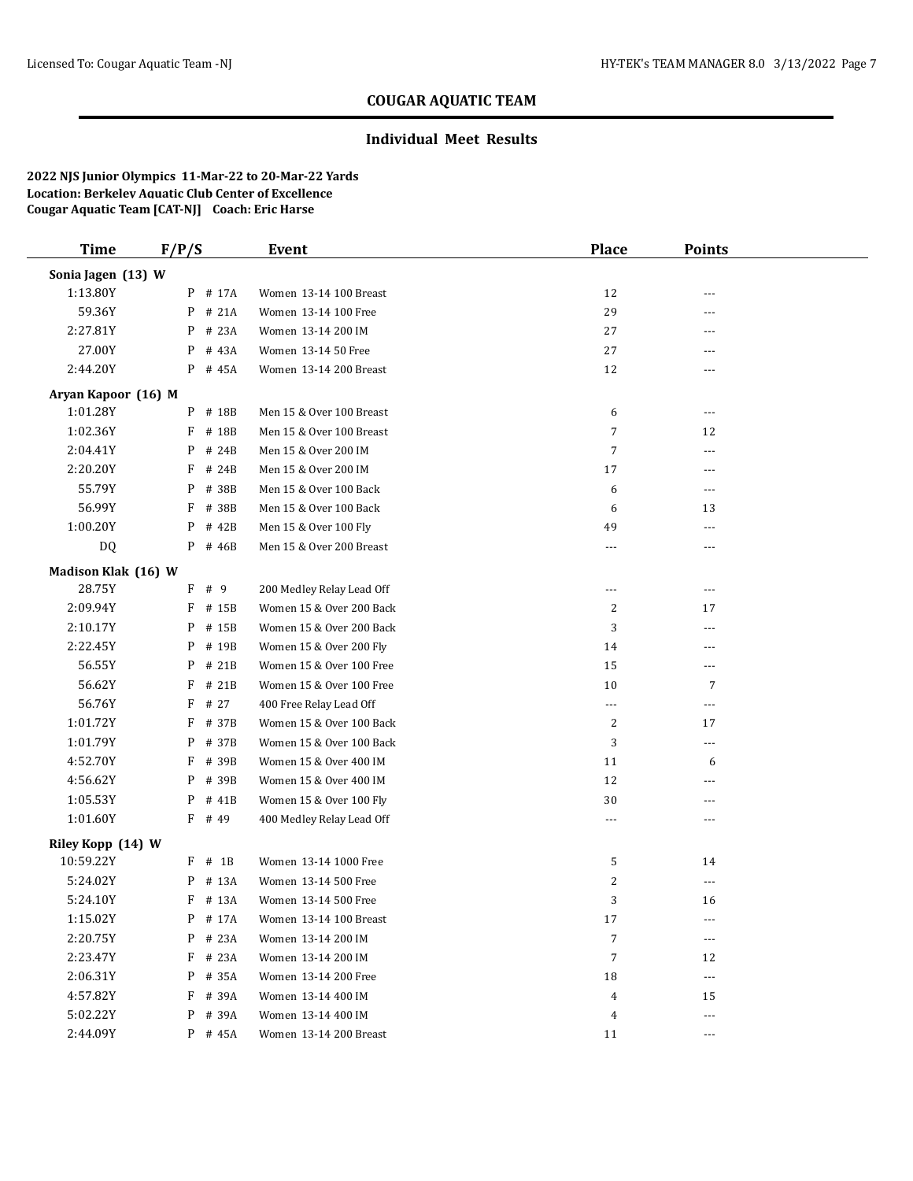### **Individual Meet Results**

| <b>Time</b>         | F/P/S       | Event                     | Place            | <b>Points</b>  |  |
|---------------------|-------------|---------------------------|------------------|----------------|--|
| Sonia Jagen (13) W  |             |                           |                  |                |  |
| 1:13.80Y            | P # 17A     | Women 13-14 100 Breast    | 12               |                |  |
| 59.36Y              | P<br># 21A  | Women 13-14 100 Free      | 29               |                |  |
| 2:27.81Y            | # 23A<br>P  | Women 13-14 200 IM        | 27               |                |  |
| 27.00Y              | P<br># 43A  | Women 13-14 50 Free       | 27               | $---$          |  |
| 2:44.20Y            | P<br># 45A  | Women 13-14 200 Breast    | 12               | $---$          |  |
| Aryan Kapoor (16) M |             |                           |                  |                |  |
| 1:01.28Y            | P<br># 18B  | Men 15 & Over 100 Breast  | 6                | $---$          |  |
| 1:02.36Y            | F<br># 18B  | Men 15 & Over 100 Breast  | 7                | 12             |  |
| 2:04.41Y            | # 24B<br>P  | Men 15 & Over 200 IM      | 7                | ---            |  |
| 2:20.20Y            | # 24B<br>F  | Men 15 & Over 200 IM      | 17               | ---            |  |
| 55.79Y              | P<br># 38B  | Men 15 & Over 100 Back    | 6                | $- - -$        |  |
| 56.99Y              | F<br># 38B  | Men 15 & Over 100 Back    | 6                | 13             |  |
| 1:00.20Y            | P<br># 42B  | Men 15 & Over 100 Fly     | 49               | $\overline{a}$ |  |
| DQ                  | P<br># 46B  | Men 15 & Over 200 Breast  | ---              | $---$          |  |
| Madison Klak (16) W |             |                           |                  |                |  |
| 28.75Y              | F<br># 9    | 200 Medley Relay Lead Off | $---$            | $---$          |  |
| 2:09.94Y            | F<br># 15B  | Women 15 & Over 200 Back  | 2                | 17             |  |
| 2:10.17Y            | P<br># 15B  | Women 15 & Over 200 Back  | 3                | ---            |  |
| 2:22.45Y            | P<br># 19B  | Women 15 & Over 200 Fly   | 14               | ---            |  |
| 56.55Y              | P<br># 21B  | Women 15 & Over 100 Free  | 15               | $\overline{a}$ |  |
| 56.62Y              | F<br># 21B  | Women 15 & Over 100 Free  | 10               | 7              |  |
| 56.76Y              | F<br># 27   | 400 Free Relay Lead Off   | $\cdots$         | $---$          |  |
| 1:01.72Y            | F<br># 37B  | Women 15 & Over 100 Back  | 2                | 17             |  |
| 1:01.79Y            | P<br># 37B  | Women 15 & Over 100 Back  | 3                | $---$          |  |
| 4:52.70Y            | F<br># 39B  | Women 15 & Over 400 IM    | 11               | 6              |  |
| 4:56.62Y            | P<br># 39B  | Women 15 & Over 400 IM    | 12               | $\overline{a}$ |  |
| 1:05.53Y            | P<br># 41B  | Women 15 & Over 100 Fly   | 30               | $---$          |  |
| 1:01.60Y            | F<br># 49   | 400 Medley Relay Lead Off | $\overline{a}$   | $\overline{a}$ |  |
| Riley Kopp (14) W   |             |                           |                  |                |  |
| 10:59.22Y           | $#$ 1B<br>F | Women 13-14 1000 Free     | 5                | 14             |  |
| 5:24.02Y            | # 13A<br>P  | Women 13-14 500 Free      | 2                | $---$          |  |
| 5:24.10Y            | F # 13A     | Women 13-14 500 Free      | 3                | 16             |  |
| 1:15.02Y            | P # 17A     | Women 13-14 100 Breast    | 17               | $---$          |  |
| 2:20.75Y            | P<br># 23A  | Women 13-14 200 IM        | $\boldsymbol{7}$ | $\overline{a}$ |  |
| 2:23.47Y            | $F$ # 23A   | Women 13-14 200 IM        | $\boldsymbol{7}$ | 12             |  |
| 2:06.31Y            | P<br># 35A  | Women 13-14 200 Free      | 18               | $---$          |  |
| 4:57.82Y            | F<br># 39A  | Women 13-14 400 IM        | 4                | 15             |  |
| 5:02.22Y            | # 39A<br>P  | Women 13-14 400 IM        | 4                | $---$          |  |
| 2:44.09Y            | P # 45A     | Women 13-14 200 Breast    | 11               | $- - -$        |  |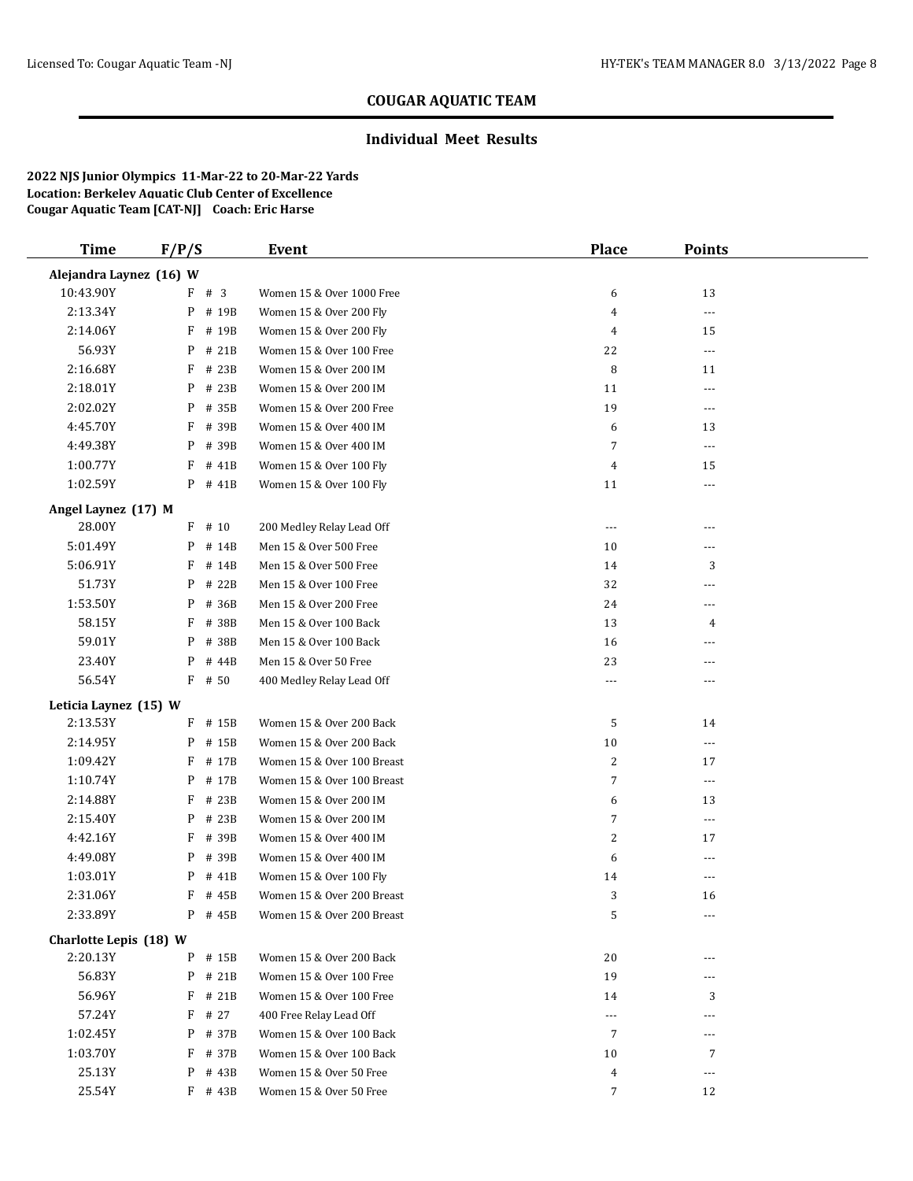### **Individual Meet Results**

| <b>Time</b>             | F/P/S      | Event                      | <b>Place</b>   | <b>Points</b>        |  |
|-------------------------|------------|----------------------------|----------------|----------------------|--|
| Alejandra Laynez (16) W |            |                            |                |                      |  |
| 10:43.90Y               | $F$ # 3    | Women 15 & Over 1000 Free  | 6              | 13                   |  |
| 2:13.34Y                | P # 19B    | Women 15 & Over 200 Fly    | 4              | $\cdots$             |  |
| 2:14.06Y                | F<br># 19B | Women 15 & Over 200 Fly    | $\overline{4}$ | 15                   |  |
| 56.93Y                  | # 21B<br>P | Women 15 & Over 100 Free   | 22             | $\scriptstyle\cdots$ |  |
| 2:16.68Y                | # 23B<br>F | Women 15 & Over 200 IM     | 8              | 11                   |  |
| 2:18.01Y                | P # 23B    | Women 15 & Over 200 IM     | 11             | ---                  |  |
| 2:02.02Y                | P # 35B    | Women 15 & Over 200 Free   | 19             | $\cdots$             |  |
| 4:45.70Y                | F<br># 39B | Women 15 & Over 400 IM     | 6              | 13                   |  |
| 4:49.38Y                | # 39B<br>P | Women 15 & Over 400 IM     | 7              | $\overline{a}$       |  |
| 1:00.77Y                | F<br># 41B | Women 15 & Over 100 Fly    | $\overline{4}$ | 15                   |  |
| 1:02.59Y                | P # 41B    | Women 15 & Over 100 Fly    | 11             | $\cdots$             |  |
| Angel Laynez (17) M     |            |                            |                |                      |  |
| 28.00Y                  | $F$ # 10   | 200 Medley Relay Lead Off  | $---$          | ---                  |  |
| 5:01.49Y                | $P$ # 14B  | Men 15 & Over 500 Free     | 10             | ---                  |  |
| 5:06.91Y                | F<br># 14B | Men 15 & Over 500 Free     | 14             | 3                    |  |
| 51.73Y                  | # 22B<br>P | Men 15 & Over 100 Free     | 32             | ---                  |  |
| 1:53.50Y                | # 36B<br>P | Men 15 & Over 200 Free     | 24             | ---                  |  |
| 58.15Y                  | # 38B<br>F | Men 15 & Over 100 Back     | 13             | 4                    |  |
| 59.01Y                  | # 38B<br>P | Men 15 & Over 100 Back     | 16             | ---                  |  |
| 23.40Y                  | P<br># 44B | Men 15 & Over 50 Free      | 23             | $---$                |  |
| 56.54Y                  | $F$ # 50   | 400 Medley Relay Lead Off  | ---            | ---                  |  |
| Leticia Laynez (15) W   |            |                            |                |                      |  |
| 2:13.53Y                | F # 15B    | Women 15 & Over 200 Back   | 5              | 14                   |  |
| 2:14.95Y                | P # 15B    | Women 15 & Over 200 Back   | 10             | $\cdots$             |  |
| 1:09.42Y                | F<br># 17B | Women 15 & Over 100 Breast | $\overline{c}$ | 17                   |  |
| 1:10.74Y                | # 17B<br>P | Women 15 & Over 100 Breast | 7              | $\cdots$             |  |
| 2:14.88Y                | F<br># 23B | Women 15 & Over 200 IM     | 6              | 13                   |  |
| 2:15.40Y                | P # 23B    | Women 15 & Over 200 IM     | 7              | $\cdots$             |  |
| 4:42.16Y                | F<br># 39B | Women 15 & Over 400 IM     | $\overline{c}$ | 17                   |  |
| 4:49.08Y                | # 39B<br>P | Women 15 & Over 400 IM     | 6              | ---                  |  |
| 1:03.01Y                | P<br># 41B | Women 15 & Over 100 Fly    | 14             | ---                  |  |
| 2:31.06Y                | F<br># 45B | Women 15 & Over 200 Breast | 3              | 16                   |  |
| 2:33.89Y                | P # 45B    | Women 15 & Over 200 Breast | 5              | $\cdots$             |  |
| Charlotte Lepis (18) W  |            |                            |                |                      |  |
| 2:20.13Y                | P # 15B    | Women 15 & Over 200 Back   | 20             | ---                  |  |
| 56.83Y                  | P # 21B    | Women 15 & Over 100 Free   | 19             | $---$                |  |
| 56.96Y                  | # 21B<br>F | Women 15 & Over 100 Free   | 14             | 3                    |  |
| 57.24Y                  | $F$ # 27   | 400 Free Relay Lead Off    | $\cdots$       | ---                  |  |
| 1:02.45Y                | P # 37B    | Women 15 & Over 100 Back   | 7              | ---                  |  |
| 1:03.70Y                | $F$ # 37B  | Women 15 & Over 100 Back   | 10             | 7                    |  |
| 25.13Y                  | P<br># 43B | Women 15 & Over 50 Free    | 4              | $\overline{a}$       |  |
| 25.54Y                  | $F$ # 43B  | Women 15 & Over 50 Free    | 7              | 12                   |  |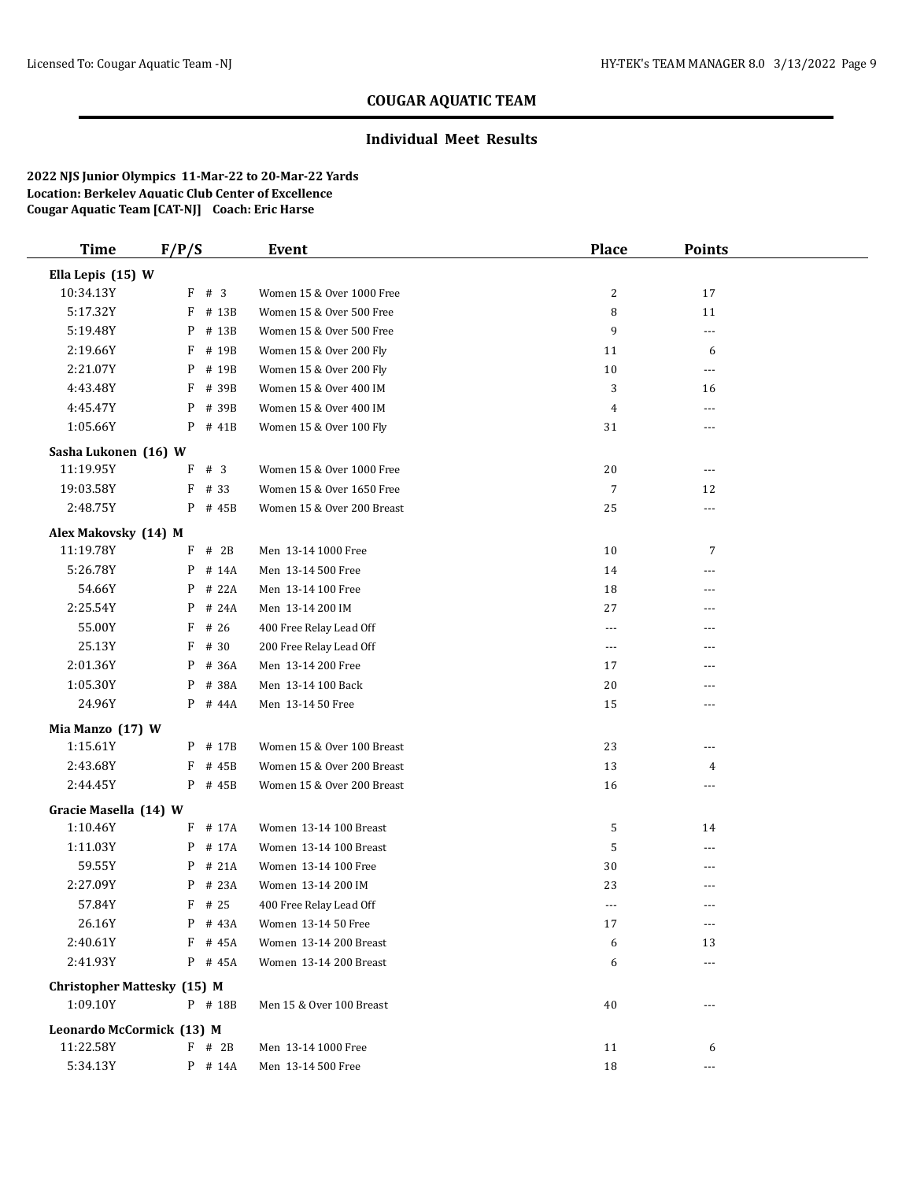### **Individual Meet Results**

| <b>Time</b>                  | F/P/S                              | Event                      | <b>Place</b>   | <b>Points</b> |  |
|------------------------------|------------------------------------|----------------------------|----------------|---------------|--|
| Ella Lepis (15) W            |                                    |                            |                |               |  |
| 10:34.13Y                    | F # 3                              | Women 15 & Over 1000 Free  | $\overline{c}$ | 17            |  |
| 5:17.32Y                     | F<br># 13B                         | Women 15 & Over 500 Free   | 8              | 11            |  |
| 5:19.48Y                     | # 13B<br>P                         | Women 15 & Over 500 Free   | 9              | $\cdots$      |  |
| 2:19.66Y                     | F<br># 19B                         | Women 15 & Over 200 Fly    | 11             | 6             |  |
| 2:21.07Y                     | P<br># 19B                         | Women 15 & Over 200 Fly    | 10             | $---$         |  |
| 4:43.48Y                     | F # 39B                            | Women 15 & Over 400 IM     | 3              | 16            |  |
| 4:45.47Y                     | P # 39B                            | Women 15 & Over 400 IM     | $\overline{4}$ | ---           |  |
| 1:05.66Y                     | $P$ # 41B                          | Women 15 & Over 100 Fly    | 31             | ---           |  |
| Sasha Lukonen (16) W         |                                    |                            |                |               |  |
| 11:19.95Y                    | F # 3                              | Women 15 & Over 1000 Free  | 20             | $---$         |  |
| 19:03.58Y                    | $F$ # 33                           | Women 15 & Over 1650 Free  | $\overline{7}$ | 12            |  |
| 2:48.75Y                     | $P$ # 45B                          | Women 15 & Over 200 Breast | 25             | $---$         |  |
| Alex Makovsky (14) M         |                                    |                            |                |               |  |
| 11:19.78Y                    | $F$ # 2B                           | Men 13-14 1000 Free        | 10             | 7             |  |
| 5:26.78Y                     | $P$ # 14A                          | Men 13-14 500 Free         | 14             | ---           |  |
| 54.66Y                       | P<br># 22A                         | Men 13-14 100 Free         | 18             | $\cdots$      |  |
| 2:25.54Y                     | # 24A<br>P                         | Men 13-14 200 IM           | 27             |               |  |
| 55.00Y                       | F<br># 26                          | 400 Free Relay Lead Off    | ---            | ---           |  |
| 25.13Y                       | # 30<br>F                          | 200 Free Relay Lead Off    | $\cdots$       | ---           |  |
| 2:01.36Y                     | # 36A<br>P                         | Men 13-14 200 Free         | 17             | $---$         |  |
| 1:05.30Y                     | P # 38A                            | Men 13-14 100 Back         | 20             | ---           |  |
| 24.96Y                       | $P$ # 44A                          | Men 13-14 50 Free          | 15             |               |  |
|                              |                                    |                            |                |               |  |
| Mia Manzo (17) W<br>1:15.61Y | P # 17B                            | Women 15 & Over 100 Breast | 23             | ---           |  |
| 2:43.68Y                     | $F$ # 45B                          | Women 15 & Over 200 Breast | 13             | 4             |  |
| 2:44.45Y                     | $P$ # 45B                          | Women 15 & Over 200 Breast | 16             | $\cdots$      |  |
|                              |                                    |                            |                |               |  |
| Gracie Masella (14) W        |                                    |                            |                |               |  |
| 1:10.46Y                     | $F$ # 17A                          | Women 13-14 100 Breast     | 5              | 14            |  |
| 1:11.03Y                     | P # 17A                            | Women 13-14 100 Breast     | 5              | $---$         |  |
| 59.55Y                       | $P$ # 21A                          | Women 13-14 100 Free       | 30             | ---           |  |
| 2:27.09Y                     | $P$ # 23A                          | Women 13-14 200 IM         | 23             |               |  |
| 57.84Y                       | $F$ # 25                           | 400 Free Relay Lead Off    | ---            | ---           |  |
| 26.16Y                       | P # 43A                            | Women 13-14 50 Free        | 17             | $---$         |  |
| 2:40.61Y                     | # 45A<br>F                         | Women 13-14 200 Breast     | 6              | 13            |  |
| 2:41.93Y                     | P # 45A                            | Women 13-14 200 Breast     | 6              | ---           |  |
|                              | <b>Christopher Mattesky (15) M</b> |                            |                |               |  |
| 1:09.10Y                     | P # 18B                            | Men 15 & Over 100 Breast   | 40             | ---           |  |
| Leonardo McCormick (13) M    |                                    |                            |                |               |  |
| 11:22.58Y                    | $F$ # 2B                           | Men 13-14 1000 Free        | 11             | 6             |  |
| 5:34.13Y                     | P # 14A                            | Men 13-14 500 Free         | 18             | ---           |  |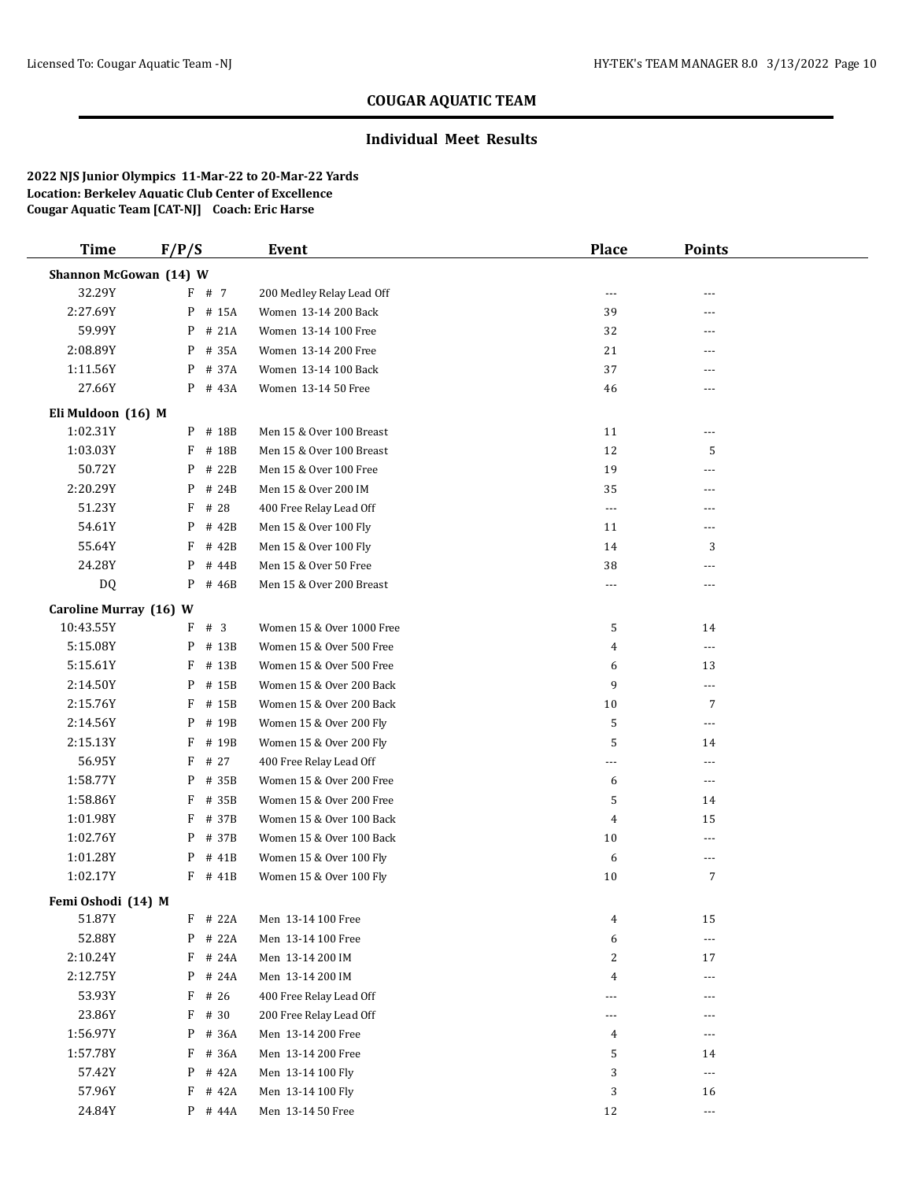### **Individual Meet Results**

| <b>Time</b>            | F/P/S      | <b>Event</b>              | <b>Place</b>   | <b>Points</b>            |  |
|------------------------|------------|---------------------------|----------------|--------------------------|--|
| Shannon McGowan (14) W |            |                           |                |                          |  |
| 32.29Y                 | F # 7      | 200 Medley Relay Lead Off | $\cdots$       |                          |  |
| 2:27.69Y               | P # 15A    | Women 13-14 200 Back      | 39             | ---                      |  |
| 59.99Y                 | # 21A<br>P | Women 13-14 100 Free      | 32             | ---                      |  |
| 2:08.89Y               | P<br># 35A | Women 13-14 200 Free      | 21             | $---$                    |  |
| 1:11.56Y               | # 37A<br>P | Women 13-14 100 Back      | 37             | ---                      |  |
| 27.66Y                 | P # 43A    | Women 13-14 50 Free       | 46             | ---                      |  |
| Eli Muldoon (16) M     |            |                           |                |                          |  |
| 1:02.31Y               | P # 18B    | Men 15 & Over 100 Breast  | 11             | ---                      |  |
| 1:03.03Y               | # 18B<br>F | Men 15 & Over 100 Breast  | 12             | 5                        |  |
| 50.72Y                 | # 22B<br>P | Men 15 & Over 100 Free    | 19             | ---                      |  |
| 2:20.29Y               | P # 24B    | Men 15 & Over 200 IM      | 35             | $---$                    |  |
| 51.23Y                 | F<br># 28  | 400 Free Relay Lead Off   | $\cdots$       | ---                      |  |
| 54.61Y                 | P<br># 42B | Men 15 & Over 100 Fly     | 11             | $- - -$                  |  |
| 55.64Y                 | # 42B<br>F | Men 15 & Over 100 Fly     | 14             | 3                        |  |
| 24.28Y                 | P<br># 44B | Men 15 & Over 50 Free     | 38             | ---                      |  |
| DQ                     | P<br># 46B | Men 15 & Over 200 Breast  | ---            | $\cdots$                 |  |
| Caroline Murray (16) W |            |                           |                |                          |  |
| 10:43.55Y              | #3<br>F    | Women 15 & Over 1000 Free | 5              | 14                       |  |
| 5:15.08Y               | # 13B<br>P | Women 15 & Over 500 Free  | $\overline{4}$ | $\cdots$                 |  |
| 5:15.61Y               | F<br># 13B | Women 15 & Over 500 Free  | 6              | 13                       |  |
| 2:14.50Y               | P # 15B    | Women 15 & Over 200 Back  | 9              | $\overline{\phantom{a}}$ |  |
| 2:15.76Y               | F<br># 15B | Women 15 & Over 200 Back  | 10             | 7                        |  |
| 2:14.56Y               | P<br># 19B | Women 15 & Over 200 Fly   | 5              | $\overline{a}$           |  |
| 2:15.13Y               | F<br># 19B | Women 15 & Over 200 Fly   | 5              | 14                       |  |
| 56.95Y                 | F<br># 27  | 400 Free Relay Lead Off   | ---            | ---                      |  |
| 1:58.77Y               | # 35B<br>P | Women 15 & Over 200 Free  | 6              | $---$                    |  |
| 1:58.86Y               | F<br># 35B | Women 15 & Over 200 Free  | 5              | 14                       |  |
| 1:01.98Y               | F # 37B    | Women 15 & Over 100 Back  | $\overline{4}$ | 15                       |  |
| 1:02.76Y               | P # 37B    | Women 15 & Over 100 Back  | 10             | $\cdots$                 |  |
| 1:01.28Y               | # 41B<br>P | Women 15 & Over 100 Fly   | 6              | $---$                    |  |
| 1:02.17Y               | $F$ # 41B  | Women 15 & Over 100 Fly   | 10             | $\overline{7}$           |  |
| Femi Oshodi (14) M     |            |                           |                |                          |  |
| 51.87Y                 | F # 22A    | Men 13-14 100 Free        | 4              | 15                       |  |
| 52.88Y                 | P # 22A    | Men 13-14 100 Free        | 6              | $\overline{\phantom{a}}$ |  |
| 2:10.24Y               | F<br># 24A | Men 13-14 200 IM          | 2              | 17                       |  |
| 2:12.75Y               | P<br># 24A | Men 13-14 200 IM          | 4              | $---$                    |  |
| 53.93Y                 | F<br># 26  | 400 Free Relay Lead Off   |                |                          |  |
| 23.86Y                 | $F$ # 30   | 200 Free Relay Lead Off   | ---            |                          |  |
| 1:56.97Y               | P # 36A    | Men 13-14 200 Free        | 4              | ---                      |  |
| 1:57.78Y               | F<br># 36A | Men 13-14 200 Free        | 5              | 14                       |  |
| 57.42Y                 | # 42A<br>P | Men 13-14 100 Fly         | 3              | $---$                    |  |
| 57.96Y                 | F<br># 42A | Men 13-14 100 Fly         | 3              | 16                       |  |
| 24.84Y                 | $P$ # 44A  | Men 13-14 50 Free         | 12             | $\cdots$                 |  |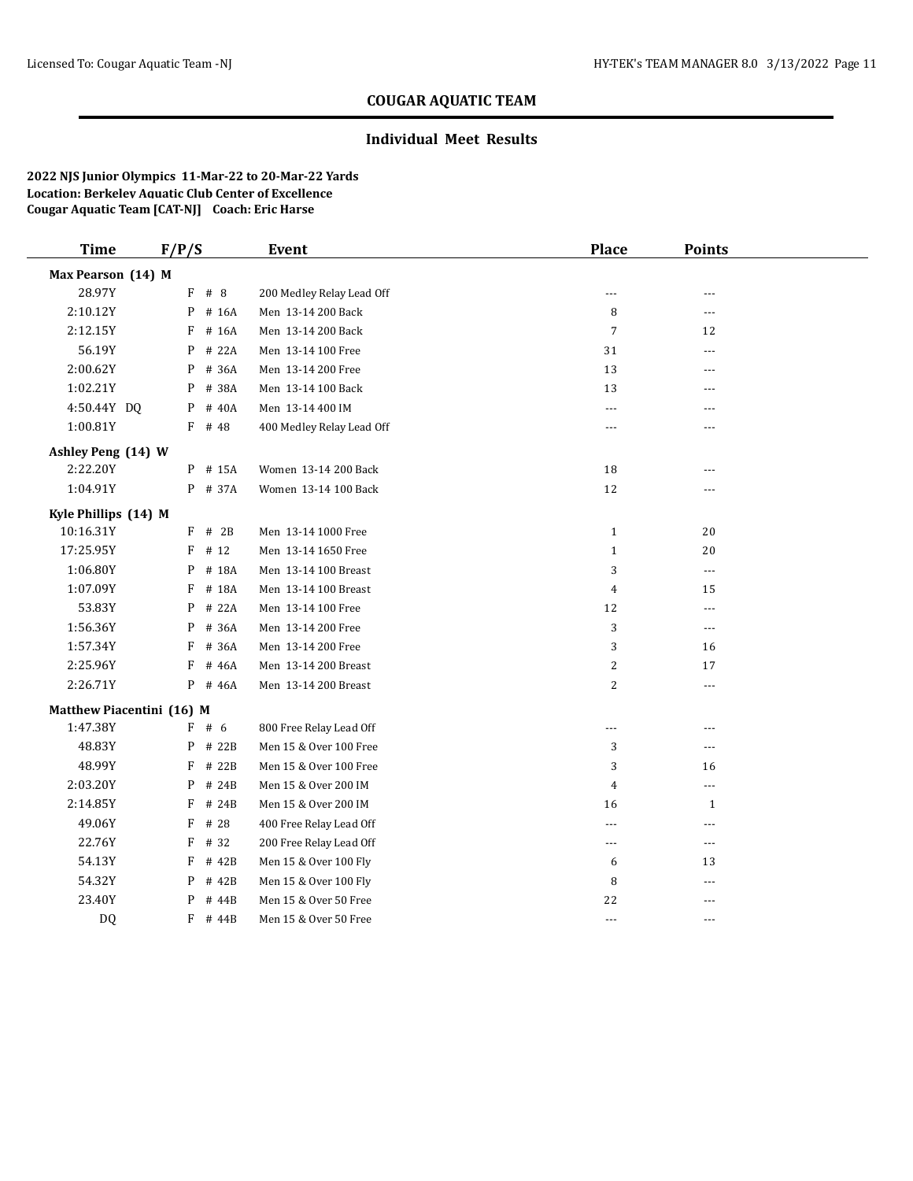### **Individual Meet Results**

| <b>Time</b>               | F/P/S |           | Event                     | <b>Place</b>   | <b>Points</b>  |  |
|---------------------------|-------|-----------|---------------------------|----------------|----------------|--|
| Max Pearson (14) M        |       |           |                           |                |                |  |
| 28.97Y                    |       | $F$ # 8   | 200 Medley Relay Lead Off | $\cdots$       | $---$          |  |
| 2:10.12Y                  |       | P # 16A   | Men 13-14 200 Back        | 8              | $---$          |  |
| 2:12.15Y                  | F     | # 16A     | Men 13-14 200 Back        | 7              | 12             |  |
| 56.19Y                    | P     | # 22A     | Men 13-14 100 Free        | 31             | $\overline{a}$ |  |
| 2:00.62Y                  | P     | # 36A     | Men 13-14 200 Free        | 13             | $- - -$        |  |
| 1:02.21Y                  | P     | # 38A     | Men 13-14 100 Back        | 13             | $\overline{a}$ |  |
| 4:50.44Y DQ               | P     | # 40A     | Men 13-14 400 IM          | $---$          | $---$          |  |
| 1:00.81Y                  |       | F # 48    | 400 Medley Relay Lead Off | ---            | ---            |  |
| Ashley Peng (14) W        |       |           |                           |                |                |  |
| 2:22.20Y                  |       | P # 15A   | Women 13-14 200 Back      | $18\,$         | $---$          |  |
| 1:04.91Y                  |       | P # 37A   | Women 13-14 100 Back      | 12             | $\overline{a}$ |  |
| Kyle Phillips (14) M      |       |           |                           |                |                |  |
| 10:16.31Y                 |       | $F$ # 2B  | Men 13-14 1000 Free       | $\mathbf{1}$   | 20             |  |
| 17:25.95Y                 |       | $F$ # 12  | Men 13-14 1650 Free       | $\mathbf{1}$   | 20             |  |
| 1:06.80Y                  | P     | # 18A     | Men 13-14 100 Breast      | 3              | $---$          |  |
| 1:07.09Y                  | F     | # 18A     | Men 13-14 100 Breast      | 4              | 15             |  |
| 53.83Y                    | P     | # 22A     | Men 13-14 100 Free        | 12             | ---            |  |
| 1:56.36Y                  | P     | # 36A     | Men 13-14 200 Free        | 3              | $---$          |  |
| 1:57.34Y                  | F     | # 36A     | Men 13-14 200 Free        | 3              | 16             |  |
| 2:25.96Y                  | F     | # 46A     | Men 13-14 200 Breast      | $\overline{c}$ | 17             |  |
| 2:26.71Y                  | P     | # 46A     | Men 13-14 200 Breast      | $\overline{c}$ | $---$          |  |
| Matthew Piacentini (16) M |       |           |                           |                |                |  |
| 1:47.38Y                  |       | F # 6     | 800 Free Relay Lead Off   | $---$          | ---            |  |
| 48.83Y                    |       | $P$ # 22B | Men 15 & Over 100 Free    | 3              | ---            |  |
| 48.99Y                    | F     | # 22B     | Men 15 & Over 100 Free    | 3              | 16             |  |
| 2:03.20Y                  | P     | # 24B     | Men 15 & Over 200 IM      | $\overline{4}$ | $---$          |  |
| 2:14.85Y                  | F     | # 24B     | Men 15 & Over 200 IM      | 16             | 1              |  |
| 49.06Y                    | F     | # 28      | 400 Free Relay Lead Off   | $\frac{1}{2}$  | $- - -$        |  |
| 22.76Y                    | F     | # 32      | 200 Free Relay Lead Off   | ---            | $---$          |  |
| 54.13Y                    | F     | # 42B     | Men 15 & Over 100 Fly     | 6              | 13             |  |
| 54.32Y                    | P     | # 42B     | Men 15 & Over 100 Fly     | 8              | ---            |  |
| 23.40Y                    | P     | # 44B     | Men 15 & Over 50 Free     | 22             | ---            |  |
| DQ                        | F     | # 44B     | Men 15 & Over 50 Free     | $---$          | $- - -$        |  |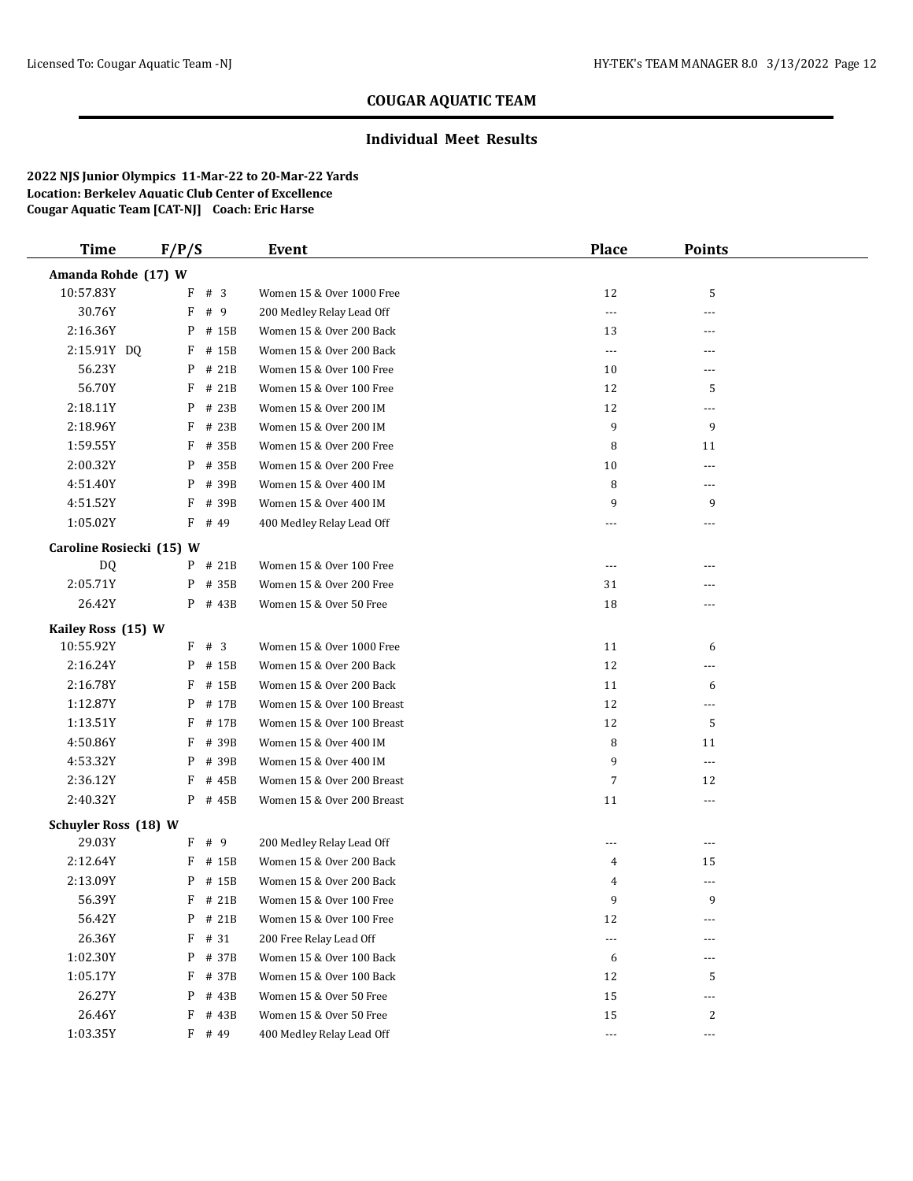### **Individual Meet Results**

| <b>Time</b>                 | F/P/S                    |          | Event                      | <b>Place</b>             | <b>Points</b>  |  |
|-----------------------------|--------------------------|----------|----------------------------|--------------------------|----------------|--|
| Amanda Rohde (17) W         |                          |          |                            |                          |                |  |
| 10:57.83Y                   |                          | F # 3    | Women 15 & Over 1000 Free  | 12                       | 5              |  |
| 30.76Y                      | F                        | # 9      | 200 Medley Relay Lead Off  | $---$                    | ---            |  |
| 2:16.36Y                    | P                        | # 15B    | Women 15 & Over 200 Back   | 13                       |                |  |
| 2:15.91Y DQ                 | F                        | # 15B    | Women 15 & Over 200 Back   | $\overline{a}$           | $---$          |  |
| 56.23Y                      | P                        | # 21B    | Women 15 & Over 100 Free   | 10                       | ---            |  |
| 56.70Y                      | F                        | # 21B    | Women 15 & Over 100 Free   | 12                       | 5              |  |
| 2:18.11Y                    | P                        | # 23B    | Women 15 & Over 200 IM     | 12                       | ---            |  |
| 2:18.96Y                    | F                        | # 23B    | Women 15 & Over 200 IM     | 9                        | 9              |  |
| 1:59.55Y                    | F                        | # 35B    | Women 15 & Over 200 Free   | 8                        | 11             |  |
| 2:00.32Y                    | P                        | # 35B    | Women 15 & Over 200 Free   | 10                       | ---            |  |
| 4:51.40Y                    | P                        | # 39B    | Women 15 & Over 400 IM     | 8                        | $---$          |  |
| 4:51.52Y                    | F                        | # 39B    | Women 15 & Over 400 IM     | 9                        | 9              |  |
| 1:05.02Y                    | F                        | # 49     | 400 Medley Relay Lead Off  | $---$                    | $\overline{a}$ |  |
|                             | Caroline Rosiecki (15) W |          |                            |                          |                |  |
| DQ                          |                          | P # 21B  | Women 15 & Over 100 Free   | ---                      |                |  |
| 2:05.71Y                    | P                        | # 35B    | Women 15 & Over 200 Free   | 31                       | ---            |  |
| 26.42Y                      |                          | P # 43B  | Women 15 & Over 50 Free    | 18                       |                |  |
| Kailey Ross (15) W          |                          |          |                            |                          |                |  |
| 10:55.92Y                   | F                        | #3       | Women 15 & Over 1000 Free  | 11                       | 6              |  |
| 2:16.24Y                    | P                        | # 15B    | Women 15 & Over 200 Back   | 12                       |                |  |
| 2:16.78Y                    | F                        | # 15B    | Women 15 & Over 200 Back   | 11                       | 6              |  |
| 1:12.87Y                    | P                        | # 17B    | Women 15 & Over 100 Breast | 12                       | ---            |  |
| 1:13.51Y                    | F                        | # 17B    | Women 15 & Over 100 Breast | 12                       | 5              |  |
| 4:50.86Y                    | F                        | # 39B    | Women 15 & Over 400 IM     | 8                        | 11             |  |
| 4:53.32Y                    | P                        | # 39B    | Women 15 & Over 400 IM     | 9                        | $\cdots$       |  |
| 2:36.12Y                    | F                        | # 45B    | Women 15 & Over 200 Breast | 7                        | 12             |  |
| 2:40.32Y                    | P                        | # 45B    | Women 15 & Over 200 Breast | 11                       | $- - -$        |  |
| <b>Schuyler Ross (18) W</b> |                          |          |                            |                          |                |  |
| 29.03Y                      | F                        | # 9      | 200 Medley Relay Lead Off  | $\cdots$                 | $---$          |  |
| 2:12.64Y                    | F                        | # 15B    | Women 15 & Over 200 Back   | 4                        | 15             |  |
| 2:13.09Y                    | P                        | # 15B    | Women 15 & Over 200 Back   | 4                        | ---            |  |
| 56.39Y                      |                          | F # 21B  | Women 15 & Over 100 Free   | 9                        | 9              |  |
| 56.42Y                      |                          | P # 21B  | Women 15 & Over 100 Free   | 12                       | ---            |  |
| 26.36Y                      | F                        | # 31     | 200 Free Relay Lead Off    | $\overline{\phantom{a}}$ | $---$          |  |
| 1:02.30Y                    | P                        | # 37B    | Women 15 & Over 100 Back   | 6                        |                |  |
| 1:05.17Y                    | F                        | # 37B    | Women 15 & Over 100 Back   | 12                       | 5              |  |
| 26.27Y                      | P                        | # 43B    | Women 15 & Over 50 Free    | 15                       | ---            |  |
| 26.46Y                      | F                        | # 43B    | Women 15 & Over 50 Free    | 15                       | 2              |  |
| 1:03.35Y                    |                          | $F$ # 49 | 400 Medley Relay Lead Off  | $\scriptstyle\cdots$     | $\cdots$       |  |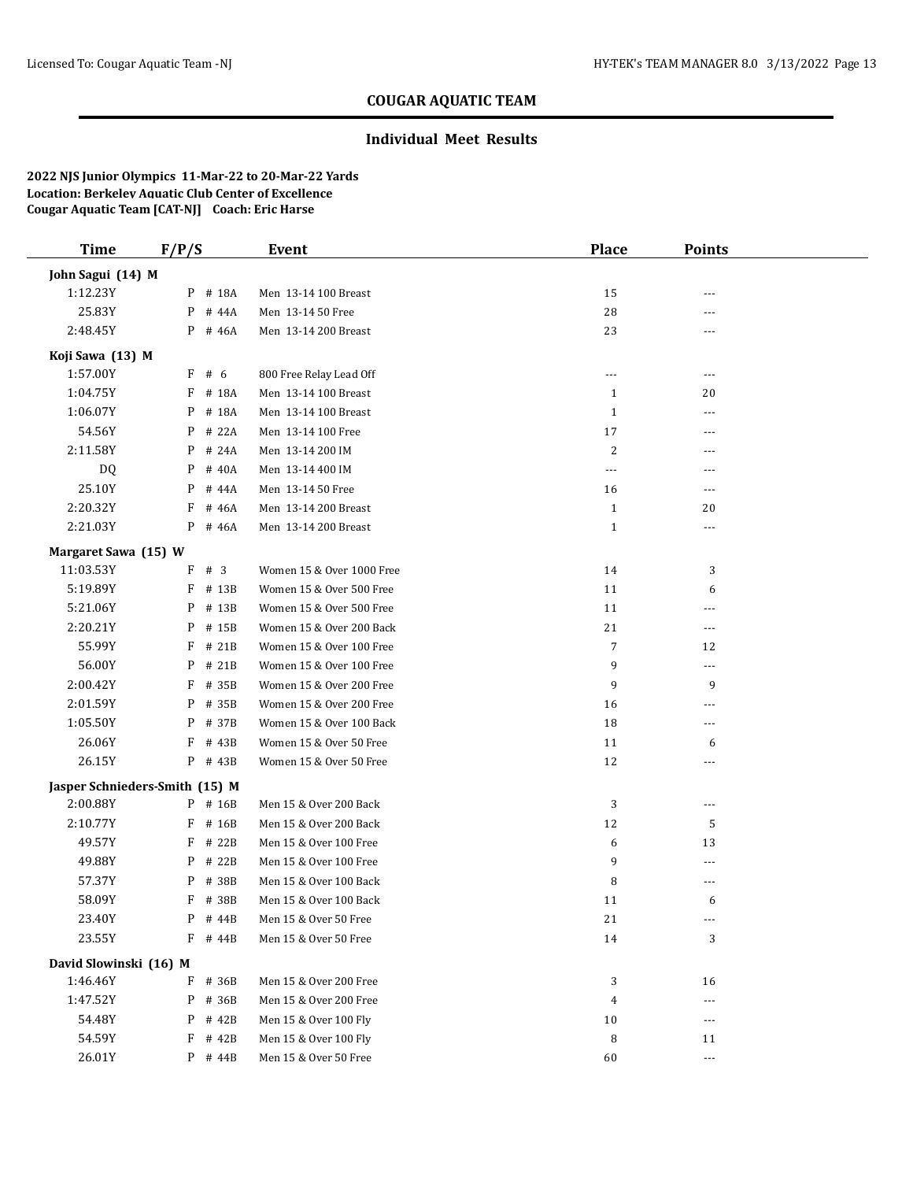#### **Individual Meet Results**

| <b>Time</b>            | F/P/S                          | Event                     | <b>Place</b> | <b>Points</b>  |  |
|------------------------|--------------------------------|---------------------------|--------------|----------------|--|
| John Sagui (14) M      |                                |                           |              |                |  |
| 1:12.23Y               | P # 18A                        | Men 13-14 100 Breast      | 15           |                |  |
| 25.83Y                 | P<br># 44A                     | Men 13-14 50 Free         | 28           | $---$          |  |
| 2:48.45Y               | $P$ # 46A                      | Men 13-14 200 Breast      | 23           | ---            |  |
| Koji Sawa (13) M       |                                |                           |              |                |  |
| 1:57.00Y               | F # 6                          | 800 Free Relay Lead Off   | $\cdots$     | ---            |  |
| 1:04.75Y               | # 18A<br>F                     | Men 13-14 100 Breast      | 1            | 20             |  |
| 1:06.07Y               | P<br># 18A                     | Men 13-14 100 Breast      | $\mathbf{1}$ | $\overline{a}$ |  |
| 54.56Y                 | P<br># 22A                     | Men 13-14 100 Free        | 17           | $---$          |  |
| 2:11.58Y               | # 24A<br>P                     | Men 13-14 200 IM          | 2            | $---$          |  |
| DQ                     | # 40A<br>P                     | Men 13-14 400 IM          | $\cdots$     | $---$          |  |
| 25.10Y                 | P<br># 44A                     | Men 13-14 50 Free         | 16           | ---            |  |
| 2:20.32Y               | F<br># 46A                     | Men 13-14 200 Breast      | $\mathbf{1}$ | 20             |  |
| 2:21.03Y               | P<br># 46A                     | Men 13-14 200 Breast      | $\mathbf{1}$ | $---$          |  |
| Margaret Sawa (15) W   |                                |                           |              |                |  |
| 11:03.53Y              | F # 3                          | Women 15 & Over 1000 Free | 14           | 3              |  |
| 5:19.89Y               | F<br># 13B                     | Women 15 & Over 500 Free  | 11           | 6              |  |
| 5:21.06Y               | P<br># 13B                     | Women 15 & Over 500 Free  | 11           | ---            |  |
| 2:20.21Y               | P<br># 15B                     | Women 15 & Over 200 Back  | 21           | $---$          |  |
| 55.99Y                 | F<br># 21B                     | Women 15 & Over 100 Free  | 7            | 12             |  |
| 56.00Y                 | # 21B<br>P                     | Women 15 & Over 100 Free  | 9            | $\overline{a}$ |  |
| 2:00.42Y               | F<br># 35B                     | Women 15 & Over 200 Free  | 9            | 9              |  |
| 2:01.59Y               | P<br># 35B                     | Women 15 & Over 200 Free  | 16           | ---            |  |
| 1:05.50Y               | P<br># 37B                     | Women 15 & Over 100 Back  | 18           | $---$          |  |
| 26.06Y                 | F<br># 43B                     | Women 15 & Over 50 Free   | 11           | 6              |  |
| 26.15Y                 | P # 43B                        | Women 15 & Over 50 Free   | 12           | ---            |  |
|                        | Jasper Schnieders-Smith (15) M |                           |              |                |  |
| 2:00.88Y               | P # 16B                        | Men 15 & Over 200 Back    | 3            | ---            |  |
| 2:10.77Y               | F<br># 16B                     | Men 15 & Over 200 Back    | 12           | 5              |  |
| 49.57Y                 | F<br># 22B                     | Men 15 & Over 100 Free    | 6            | 13             |  |
| 49.88Y                 | # 22B<br>P                     | Men 15 & Over 100 Free    | 9            | ---            |  |
| 57.37Y                 | # 38B<br>P                     | Men 15 & Over 100 Back    | 8            | ---            |  |
| 58.09Y                 | F # 38B                        | Men 15 & Over 100 Back    | 11           | 6              |  |
| 23.40Y                 | $P$ # 44B                      | Men 15 & Over 50 Free     | 21           | $\cdots$       |  |
| 23.55Y                 | F<br># 44B                     | Men 15 & Over 50 Free     | 14           | 3              |  |
| David Slowinski (16) M |                                |                           |              |                |  |
| 1:46.46Y               | F # 36B                        | Men 15 & Over 200 Free    | 3            | 16             |  |
| 1:47.52Y               | P<br># 36B                     | Men 15 & Over 200 Free    | 4            | ---            |  |
| 54.48Y                 | P<br># 42B                     | Men 15 & Over 100 Fly     | 10           | $---$          |  |
| 54.59Y                 | F<br># 42B                     | Men 15 & Over 100 Fly     | 8            | 11             |  |
| 26.01Y                 | $P$ # 44B                      | Men 15 & Over 50 Free     | 60           | $\cdots$       |  |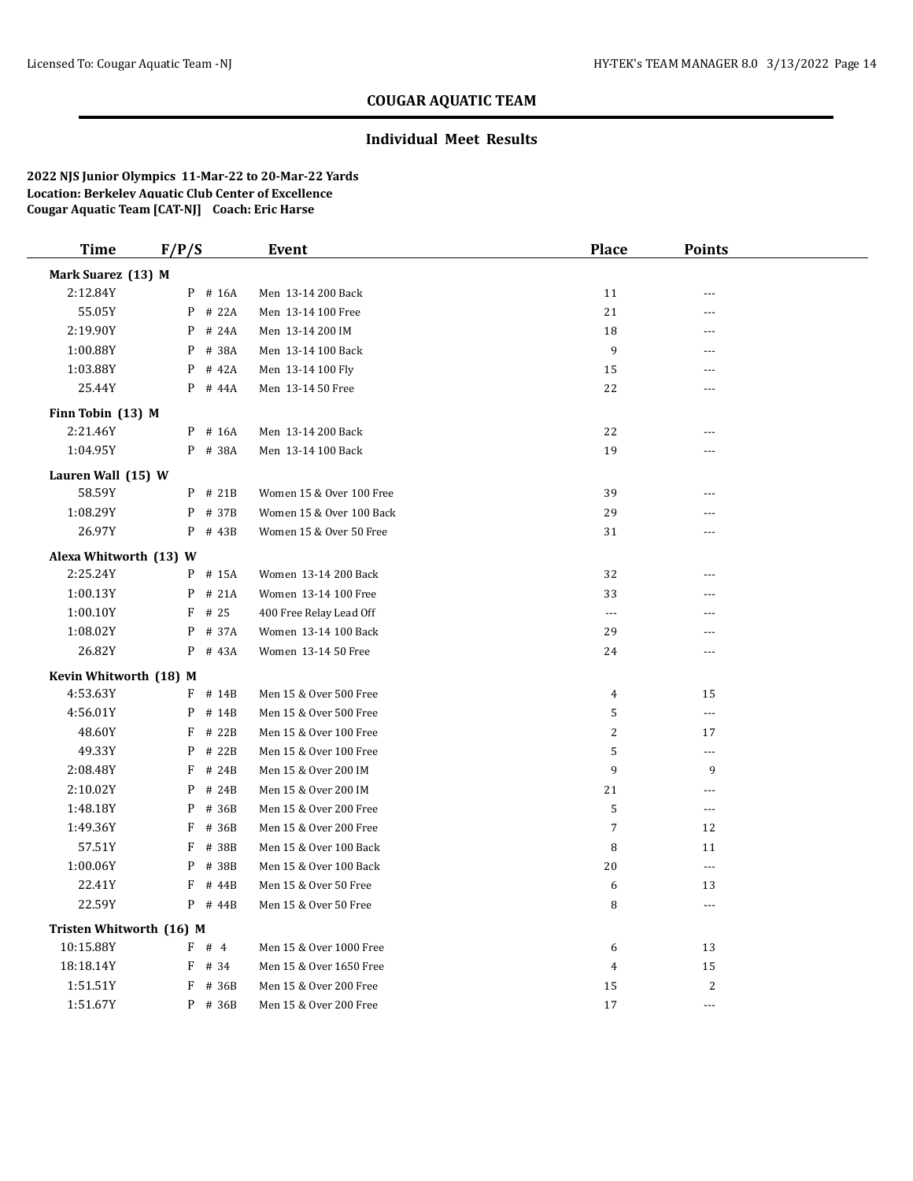### **Individual Meet Results**

| <b>Time</b>              | F/P/S      | Event                    | <b>Place</b>     | <b>Points</b>            |  |
|--------------------------|------------|--------------------------|------------------|--------------------------|--|
| Mark Suarez (13) M       |            |                          |                  |                          |  |
| 2:12.84Y                 | P # 16A    | Men 13-14 200 Back       | 11               | ---                      |  |
| 55.05Y                   | P<br># 22A | Men 13-14 100 Free       | 21               | ---                      |  |
| 2:19.90Y                 | P<br># 24A | Men 13-14 200 IM         | 18               | ---                      |  |
| 1:00.88Y                 | # 38A<br>P | Men 13-14 100 Back       | $\boldsymbol{9}$ | ---                      |  |
| 1:03.88Y                 | P<br># 42A | Men 13-14 100 Fly        | 15               | ---                      |  |
| 25.44Y                   | P # 44A    | Men 13-14 50 Free        | 22               | ---                      |  |
| Finn Tobin (13) M        |            |                          |                  |                          |  |
| 2:21.46Y                 | P # 16A    | Men 13-14 200 Back       | 22               | ---                      |  |
| 1:04.95Y                 | P # 38A    | Men 13-14 100 Back       | 19               | ---                      |  |
| Lauren Wall (15) W       |            |                          |                  |                          |  |
| 58.59Y                   | $P$ # 21B  | Women 15 & Over 100 Free | 39               | ---                      |  |
| 1:08.29Y                 | P # 37B    | Women 15 & Over 100 Back | 29               | ---                      |  |
| 26.97Y                   | $P$ # 43B  | Women 15 & Over 50 Free  | 31               | ---                      |  |
| Alexa Whitworth (13) W   |            |                          |                  |                          |  |
| 2:25.24Y                 | P # 15A    | Women 13-14 200 Back     | 32               | $\overline{a}$           |  |
| 1:00.13Y                 | # 21A<br>P | Women 13-14 100 Free     | 33               | ---                      |  |
| 1:00.10Y                 | $F$ # 25   | 400 Free Relay Lead Off  | ---              | ---                      |  |
| 1:08.02Y                 | P<br># 37A | Women 13-14 100 Back     | 29               | ---                      |  |
| 26.82Y                   | P # 43A    | Women 13-14 50 Free      | 24               | ---                      |  |
| Kevin Whitworth (18) M   |            |                          |                  |                          |  |
| 4:53.63Y                 | $F$ # 14B  | Men 15 & Over 500 Free   | $\overline{4}$   | 15                       |  |
| 4:56.01Y                 | P<br># 14B | Men 15 & Over 500 Free   | 5                | $\cdots$                 |  |
| 48.60Y                   | $F$ # 22B  | Men 15 & Over 100 Free   | 2                | 17                       |  |
| 49.33Y                   | # 22B<br>P | Men 15 & Over 100 Free   | 5                | $\overline{\phantom{a}}$ |  |
| 2:08.48Y                 | # 24B<br>F | Men 15 & Over 200 IM     | 9                | 9                        |  |
| 2:10.02Y                 | P<br># 24B | Men 15 & Over 200 IM     | 21               | $\overline{a}$           |  |
| 1:48.18Y                 | P<br># 36B | Men 15 & Over 200 Free   | $\sf 5$          | $\scriptstyle\cdots$     |  |
| 1:49.36Y                 | F<br># 36B | Men 15 & Over 200 Free   | $\overline{7}$   | 12                       |  |
| 57.51Y                   | F<br># 38B | Men 15 & Over 100 Back   | 8                | 11                       |  |
| 1:00.06Y                 | P<br># 38B | Men 15 & Over 100 Back   | 20               | $\overline{\phantom{a}}$ |  |
| 22.41Y                   | F<br># 44B | Men 15 & Over 50 Free    | 6                | 13                       |  |
| 22.59Y                   | $P$ # 44B  | Men 15 & Over 50 Free    | 8                | $\cdots$                 |  |
| Tristen Whitworth (16) M |            |                          |                  |                          |  |
| 10:15.88Y                | F # 4      | Men 15 & Over 1000 Free  | 6                | 13                       |  |
| 18:18.14Y                | $F$ # 34   | Men 15 & Over 1650 Free  | $\boldsymbol{4}$ | 15                       |  |
| 1:51.51Y                 | F<br># 36B | Men 15 & Over 200 Free   | 15               | $\overline{2}$           |  |
| 1:51.67Y                 | $P$ # 36B  | Men 15 & Over 200 Free   | 17               |                          |  |